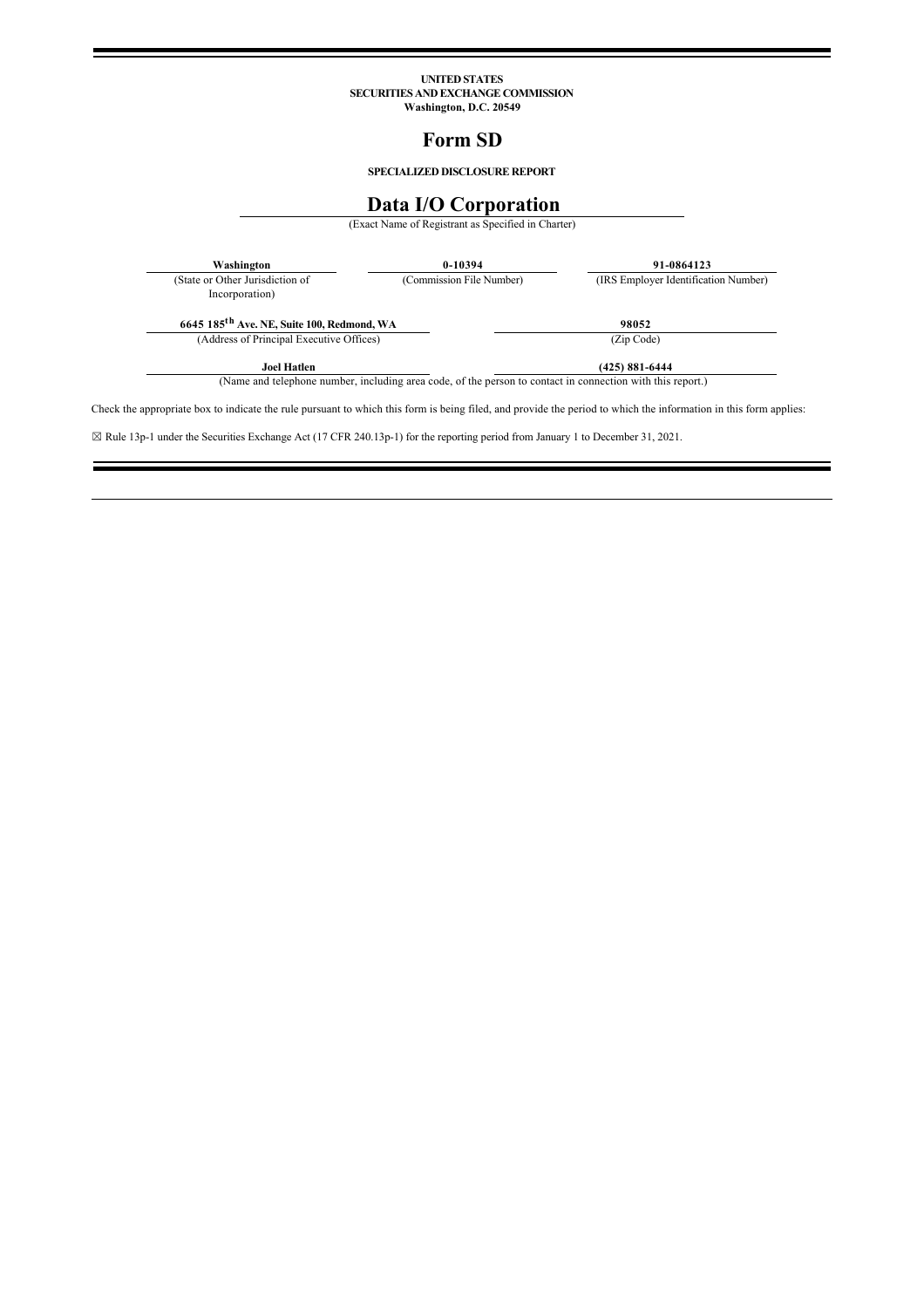# **UNITED STATES SECURITIES AND EXCHANGE COMMISSION Washington, D.C. 20549**

# **Form SD**

**SPECIALIZED DISCLOSURE REPORT**

# **Data I/O Corporation**

(Exact Name of Registrant as Specified in Charter)

| Washington                                             | 0-10394                  | 91-0864123                           |
|--------------------------------------------------------|--------------------------|--------------------------------------|
| (State or Other Jurisdiction of<br>Incorporation)      | (Commission File Number) | (IRS Employer Identification Number) |
|                                                        |                          |                                      |
| 6645 185 <sup>th</sup> Ave. NE, Suite 100, Redmond, WA |                          | 98052                                |
| (Address of Principal Executive Offices)               |                          | (Zip Code)                           |

Check the appropriate box to indicate the rule pursuant to which this form is being filed, and provide the period to which the information in this form applies:

☒ Rule 13p1 under the Securities Exchange Act (17 CFR 240.13p1) for the reporting period from January 1 to December 31, 2021.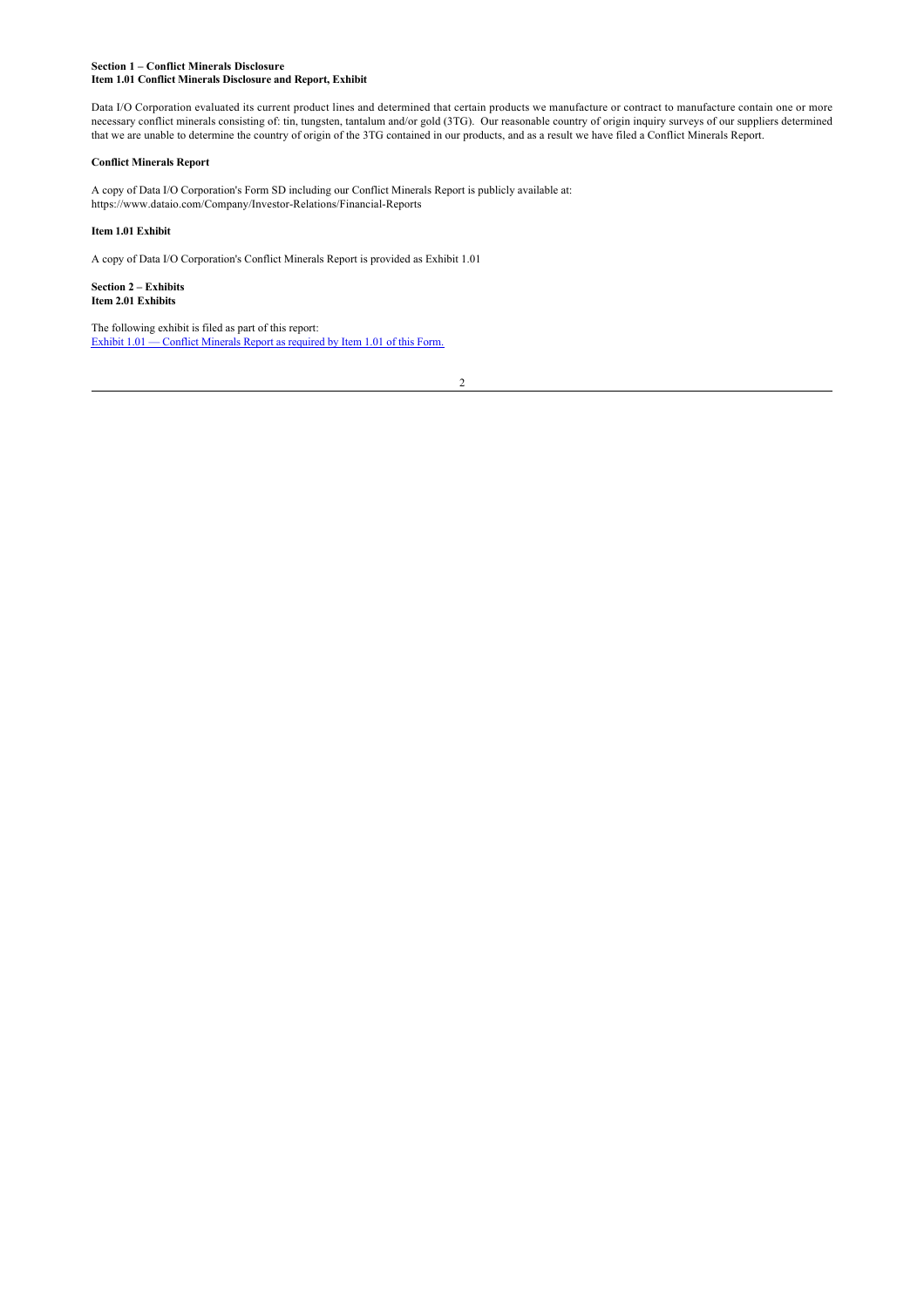## **Section 1 – Conflict Minerals Disclosure Item 1.01 Conflict Minerals Disclosure and Report, Exhibit**

Data I/O Corporation evaluated its current product lines and determined that certain products we manufacture or contract to manufacture contain one or more necessary conflict minerals consisting of: tin, tungsten, tantalum and/or gold (3TG). Our reasonable country of origin inquiry surveys of our suppliers determined that we are unable to determine the country of origin of the 3TG contained in our products, and as a result we have filed a Conflict Minerals Report.

# **Conflict Minerals Report**

A copy of Data I/O Corporation's Form SD including our Conflict Minerals Report is publicly available at: https://www.dataio.com/Company/Investor-Relations/Financial-Reports

# **Item 1.01 Exhibit**

A copy of Data I/O Corporation's Conflict Minerals Report is provided as Exhibit 1.01

**Section 2 – Exhibits Item 2.01 Exhibits**

The following exhibit is filed as part of this report: [Exhibit 1.01 — Conflict Minerals Report as required by Item 1.01 of this Form.](http://www.edgarmaster.com/Inet/main/daio_ex101.htm)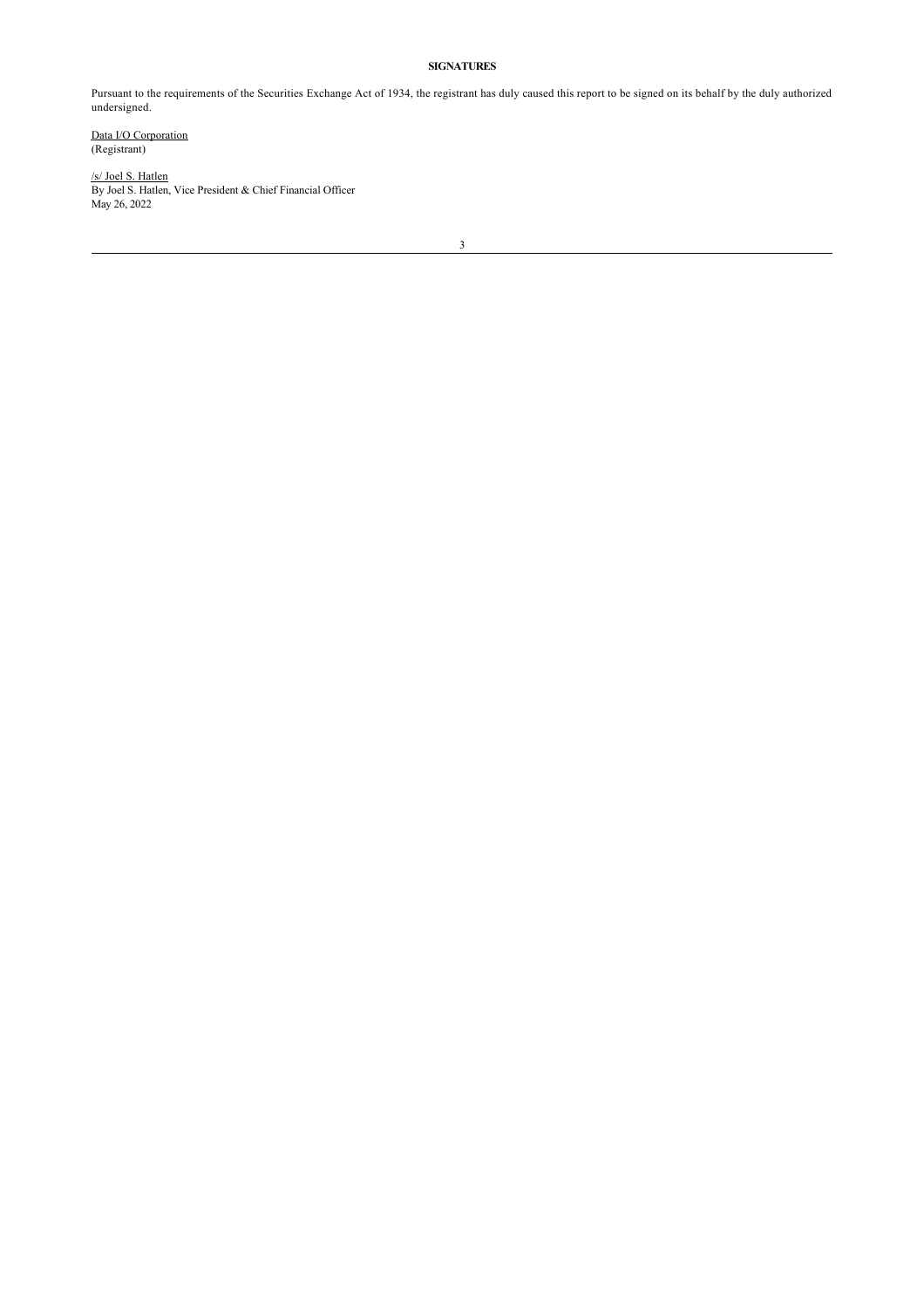# **SIGNATURES**

Pursuant to the requirements of the Securities Exchange Act of 1934, the registrant has duly caused this report to be signed on its behalf by the duly authorized undersigned.

Data I/O Corporation (Registrant)

/s/ Joel S. Hatlen By Joel S. Hatlen, Vice President & Chief Financial Officer May 26, 2022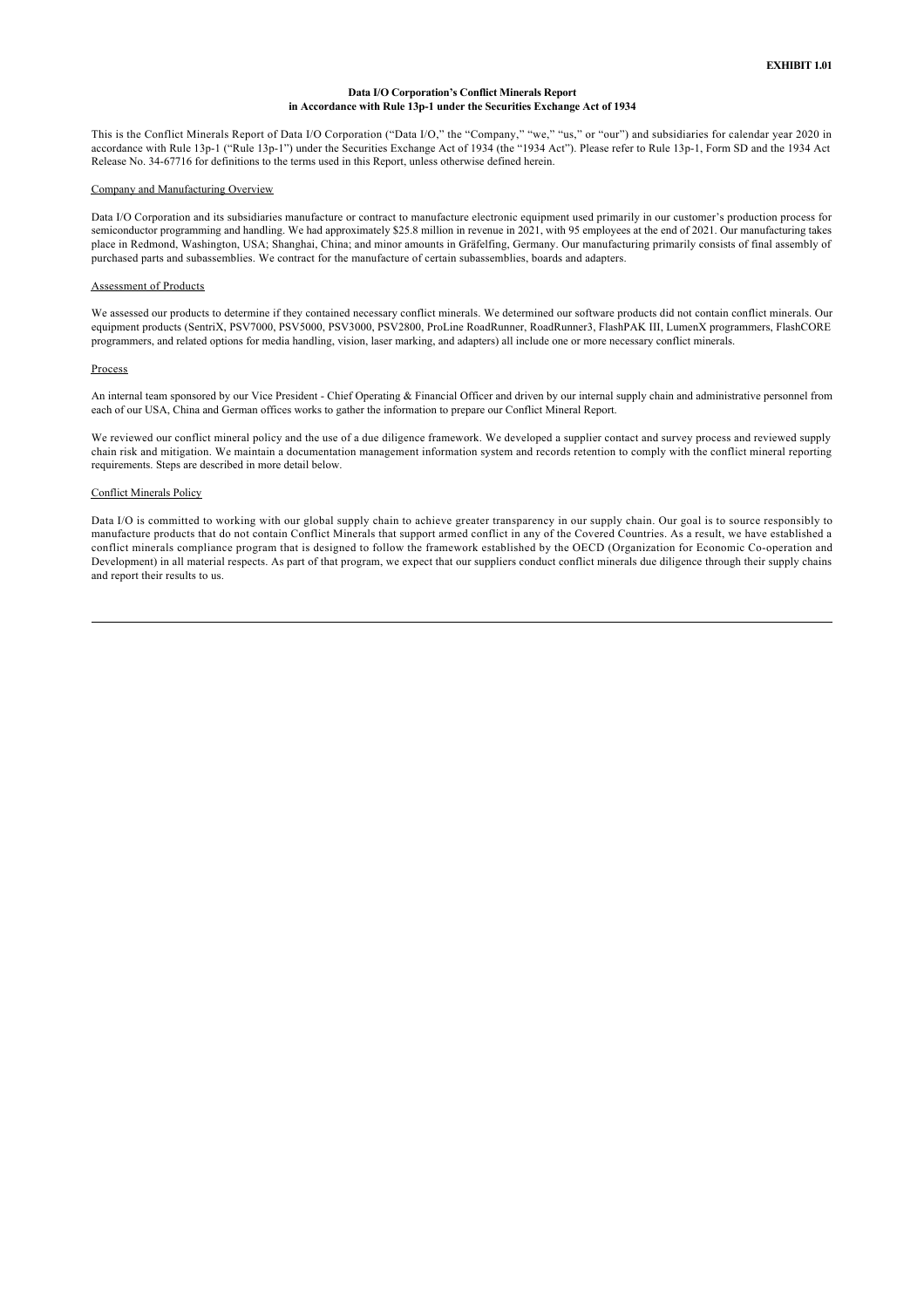## **Data I/O Corporation's Conflict Minerals Report in Accordance with Rule 13p1 under the Securities Exchange Act of 1934**

This is the Conflict Minerals Report of Data I/O Corporation ("Data I/O," the "Company," "we," "us," or "our") and subsidiaries for calendar year 2020 in accordance with Rule 13p1 ("Rule 13p1") under the Securities Exchange Act of 1934 (the "1934 Act"). Please refer to Rule 13p1, Form SD and the 1934 Act Release No. 34-67716 for definitions to the terms used in this Report, unless otherwise defined herein.

#### Company and Manufacturing Overview

Data I/O Corporation and its subsidiaries manufacture or contract to manufacture electronic equipment used primarily in our customer's production process for semiconductor programming and handling. We had approximately \$25.8 million in revenue in 2021, with 95 employees at the end of 2021. Our manufacturing takes place in Redmond, Washington, USA; Shanghai, China; and minor amounts in Gräfelfing, Germany. Our manufacturing primarily consists of final assembly of purchased parts and subassemblies. We contract for the manufacture of certain subassemblies, boards and adapters.

#### Assessment of Products

We assessed our products to determine if they contained necessary conflict minerals. We determined our software products did not contain conflict minerals. Our equipment products (SentriX, PSV7000, PSV5000, PSV3000, PSV2800, ProLine RoadRunner, RoadRunner3, FlashPAK III, LumenX programmers, FlashCORE programmers, and related options for media handling, vision, laser marking, and adapters) all include one or more necessary conflict minerals.

#### Process

An internal team sponsored by our Vice President - Chief Operating & Financial Officer and driven by our internal supply chain and administrative personnel from each of our USA, China and German offices works to gather the information to prepare our Conflict Mineral Report.

We reviewed our conflict mineral policy and the use of a due diligence framework. We developed a supplier contact and survey process and reviewed supply chain risk and mitigation. We maintain a documentation management information system and records retention to comply with the conflict mineral reporting requirements. Steps are described in more detail below.

#### Conflict Minerals Policy

Data I/O is committed to working with our global supply chain to achieve greater transparency in our supply chain. Our goal is to source responsibly to manufacture products that do not contain Conflict Minerals that support armed conflict in any of the Covered Countries. As a result, we have established a conflict minerals compliance program that is designed to follow the framework established by the OECD (Organization for Economic Cooperation and Development) in all material respects. As part of that program, we expect that our suppliers conduct conflict minerals due diligence through their supply chains and report their results to us.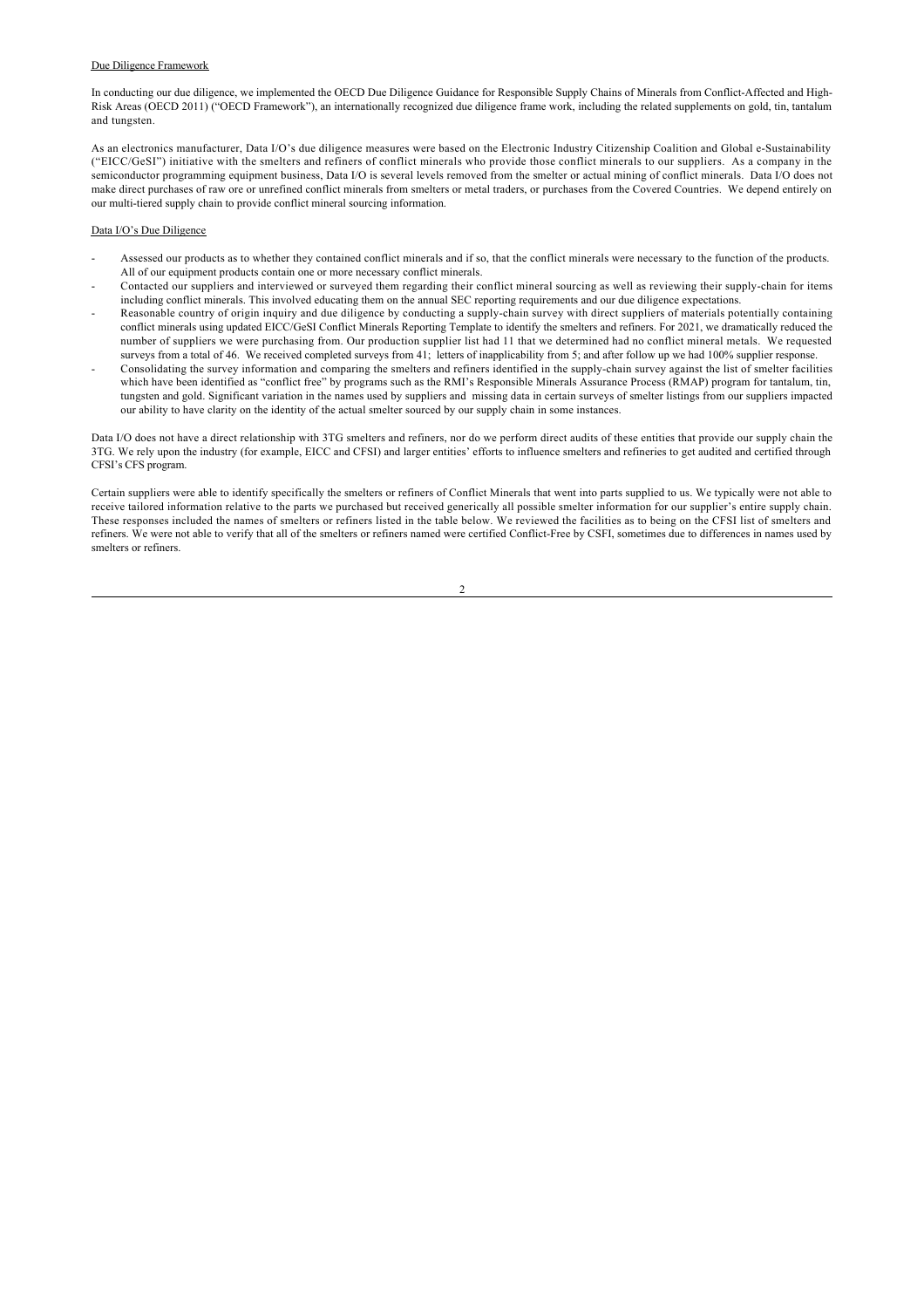# Due Diligence Framework

In conducting our due diligence, we implemented the OECD Due Diligence Guidance for Responsible Supply Chains of Minerals from ConflictAffected and High-Risk Areas (OECD 2011) ("OECD Framework"), an internationally recognized due diligence frame work, including the related supplements on gold, tin, tantalum and tungsten.

As an electronics manufacturer, Data I/O's due diligence measures were based on the Electronic Industry Citizenship Coalition and Global e-Sustainability ("EICC/GeSI") initiative with the smelters and refiners of conflict minerals who provide those conflict minerals to our suppliers. As a company in the semiconductor programming equipment business. Data I/O is several levels removed from the smelter or actual mining of conflict minerals. Data I/O does not make direct purchases of raw ore or unrefined conflict minerals from smelters or metal traders, or purchases from the Covered Countries. We depend entirely on our multi-tiered supply chain to provide conflict mineral sourcing information.

### Data I/O's Due Diligence

- Assessed our products as to whether they contained conflict minerals and if so, that the conflict minerals were necessary to the function of the products. All of our equipment products contain one or more necessary conflict minerals.
- Contacted our suppliers and interviewed or surveyed them regarding their conflict mineral sourcing as well as reviewing their supplychain for items including conflict minerals. This involved educating them on the annual SEC reporting requirements and our due diligence expectations.
- Reasonable country of origin inquiry and due diligence by conducting a supplychain survey with direct suppliers of materials potentially containing conflict minerals using updated EICC/GeSI Conflict Minerals Reporting Template to identify the smelters and refiners. For 2021, we dramatically reduced the number of suppliers we were purchasing from. Our production supplier list had 11 that we determined had no conflict mineral metals. We requested surveys from a total of 46. We received completed surveys from 41; letters of inapplicability from 5; and after follow up we had 100% supplier response.
- Consolidating the survey information and comparing the smelters and refiners identified in the supplychain survey against the list of smelter facilities which have been identified as "conflict free" by programs such as the RMI's Responsible Minerals Assurance Process (RMAP) program for tantalum, tin, tungsten and gold. Significant variation in the names used by suppliers and missing data in certain surveys of smelter listings from our suppliers impacted our ability to have clarity on the identity of the actual smelter sourced by our supply chain in some instances.

Data I/O does not have a direct relationship with 3TG smelters and refiners, nor do we perform direct audits of these entities that provide our supply chain the 3TG. We rely upon the industry (for example, EICC and CFSI) and larger entities' efforts to influence smelters and refineries to get audited and certified through CFSI's CFS program.

Certain suppliers were able to identify specifically the smelters or refiners of Conflict Minerals that went into parts supplied to us. We typically were not able to receive tailored information relative to the parts we purchased but received generically all possible smelter information for our supplier's entire supply chain. These responses included the names of smelters or refiners listed in the table below. We reviewed the facilities as to being on the CFSI list of smelters and refiners. We were not able to verify that all of the smelters or refiners named were certified Conflict-Free by CSFI, sometimes due to differences in names used by smelters or refiners.

 $\overline{2}$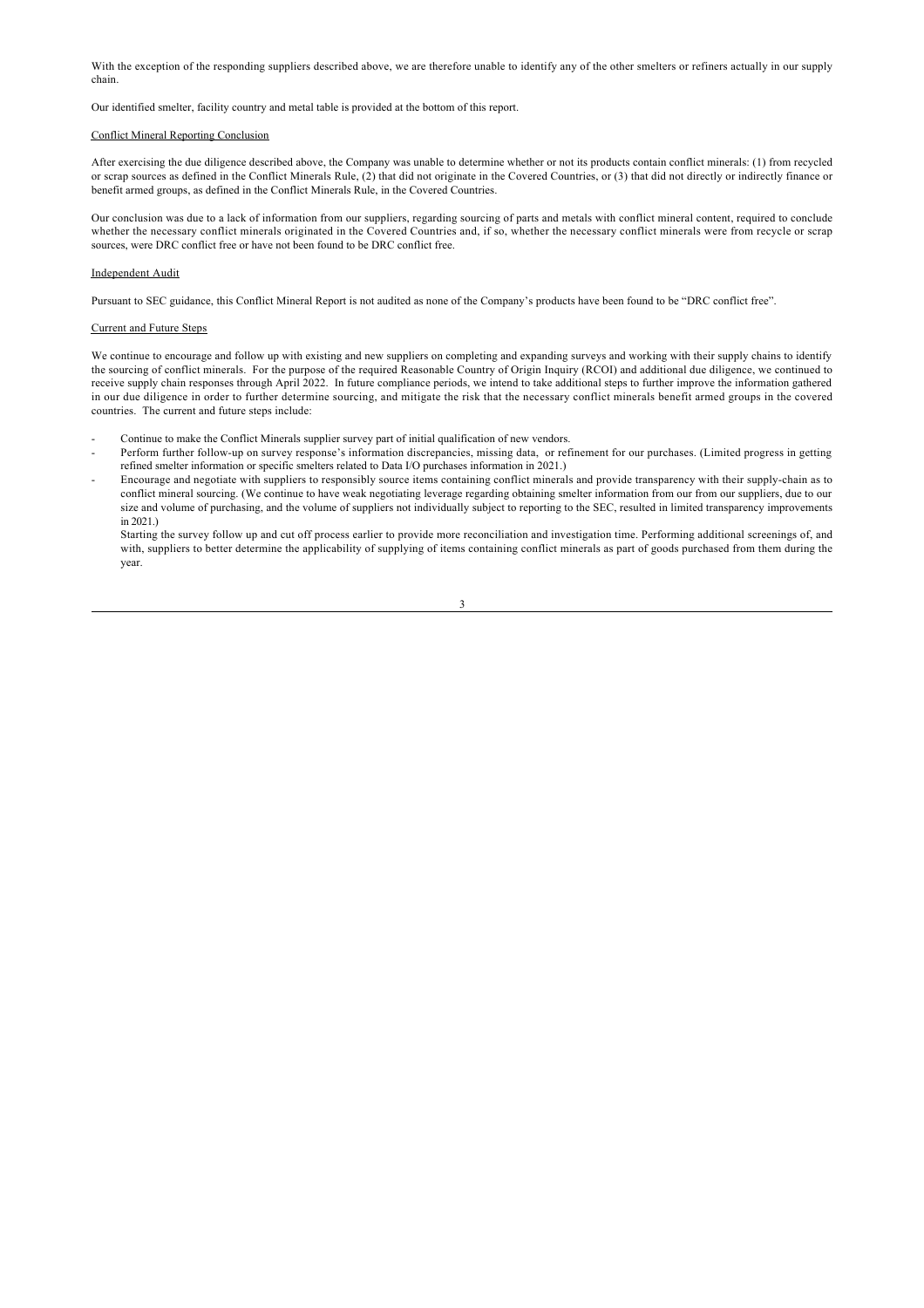With the exception of the responding suppliers described above, we are therefore unable to identify any of the other smelters or refiners actually in our supply chain.

Our identified smelter, facility country and metal table is provided at the bottom of this report.

# Conflict Mineral Reporting Conclusion

After exercising the due diligence described above, the Company was unable to determine whether or not its products contain conflict minerals: (1) from recycled or scrap sources as defined in the Conflict Minerals Rule, (2) that did not originate in the Covered Countries, or (3) that did not directly or indirectly finance or benefit armed groups, as defined in the Conflict Minerals Rule, in the Covered Countries.

Our conclusion was due to a lack of information from our suppliers, regarding sourcing of parts and metals with conflict mineral content, required to conclude whether the necessary conflict minerals originated in the Covered Countries and, if so, whether the necessary conflict minerals were from recycle or scrap sources, were DRC conflict free or have not been found to be DRC conflict free.

#### Independent Audit

Pursuant to SEC guidance, this Conflict Mineral Report is not audited as none of the Company's products have been found to be "DRC conflict free".

#### Current and Future Steps

We continue to encourage and follow up with existing and new suppliers on completing and expanding surveys and working with their supply chains to identify the sourcing of conflict minerals. For the purpose of the required Reasonable Country of Origin Inquiry (RCOI) and additional due diligence, we continued to receive supply chain responses through April 2022. In future compliance periods, we intend to take additional steps to further improve the information gathered in our due diligence in order to further determine sourcing, and mitigate the risk that the necessary conflict minerals benefit armed groups in the covered countries. The current and future steps include:

- Continue to make the Conflict Minerals supplier survey part of initial qualification of new vendors.
- Perform further followup on survey response's information discrepancies, missing data, or refinement for our purchases. (Limited progress in getting refined smelter information or specific smelters related to Data I/O purchases information in 2021.)
- Encourage and negotiate with suppliers to responsibly source items containing conflict minerals and provide transparency with their supplychain as to conflict mineral sourcing. (We continue to have weak negotiating leverage regarding obtaining smelter information from our from our suppliers, due to our size and volume of purchasing, and the volume of suppliers not individually subject to reporting to the SEC, resulted in limited transparency improvements in 2021.)

Starting the survey follow up and cut off process earlier to provide more reconciliation and investigation time. Performing additional screenings of, and with, suppliers to better determine the applicability of supplying of items containing conflict minerals as part of goods purchased from them during the year.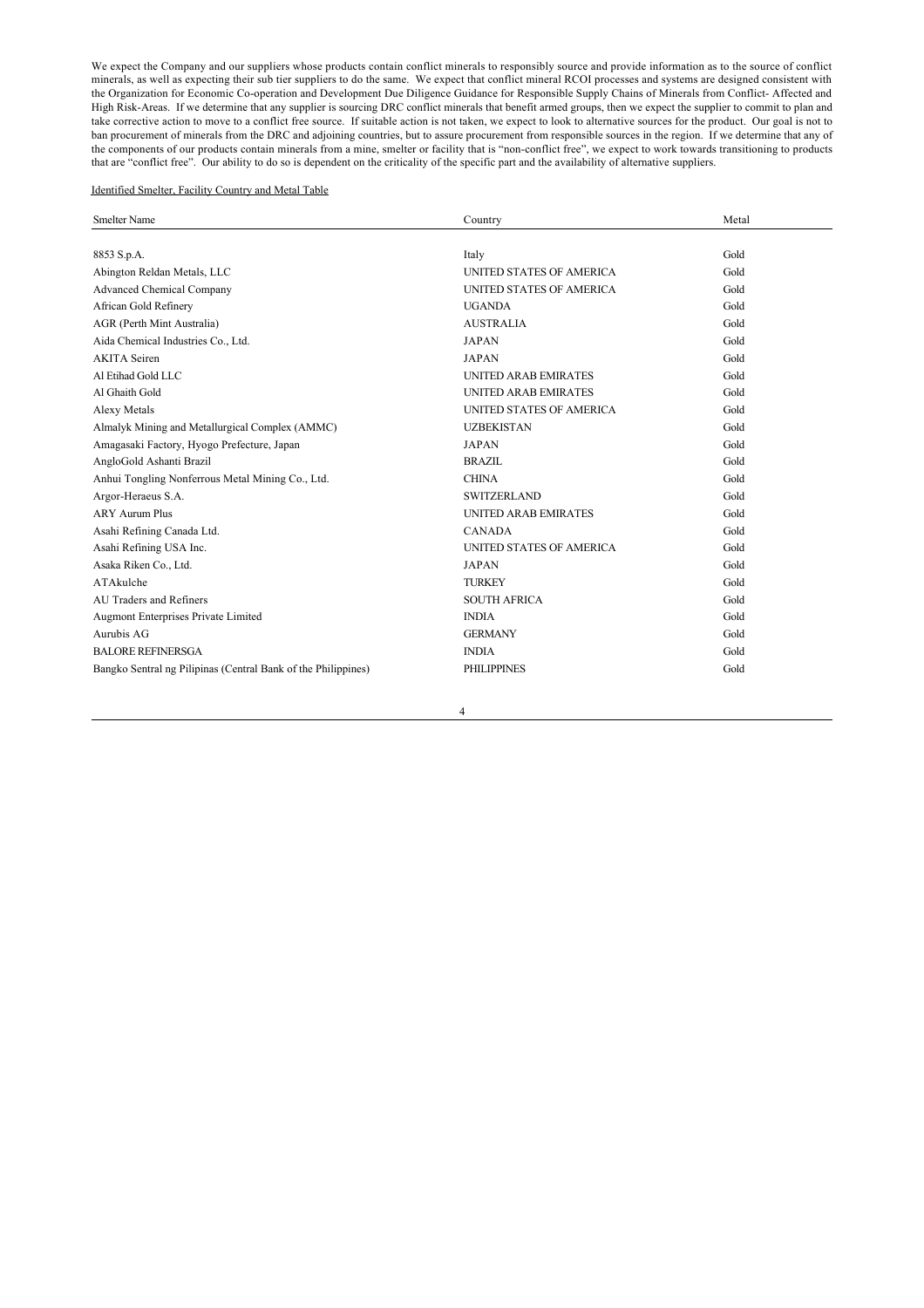We expect the Company and our suppliers whose products contain conflict minerals to responsibly source and provide information as to the source of conflict minerals, as well as expecting their sub tier suppliers to do the same. We expect that conflict mineral RCOI processes and systems are designed consistent with the Organization for Economic Co-operation and Development Due Diligence Guidance for Responsible Supply Chains of Minerals from Conflict-Affected and High RiskAreas. If we determine that any supplier is sourcing DRC conflict minerals that benefit armed groups, then we expect the supplier to commit to plan and take corrective action to move to a conflict free source. If suitable action is not taken, we expect to look to alternative sources for the product. Our goal is not to ban procurement of minerals from the DRC and adjoining countries, but to assure procurement from responsible sources in the region. If we determine that any of the components of our products contain minerals from a mine, smelter or facility that is "non-conflict free", we expect to work towards transitioning to products that are "conflict free". Our ability to do so is dependent on the criticality of the specific part and the availability of alternative suppliers.

# Identified Smelter, Facility Country and Metal Table

| <b>Smelter Name</b>                                           | Country                         | Metal |
|---------------------------------------------------------------|---------------------------------|-------|
|                                                               |                                 |       |
| 8853 S.p.A.                                                   | Italy                           | Gold  |
| Abington Reldan Metals, LLC                                   | UNITED STATES OF AMERICA        | Gold  |
| <b>Advanced Chemical Company</b>                              | <b>UNITED STATES OF AMERICA</b> | Gold  |
| African Gold Refinery                                         | <b>UGANDA</b>                   | Gold  |
| AGR (Perth Mint Australia)                                    | <b>AUSTRALIA</b>                | Gold  |
| Aida Chemical Industries Co., Ltd.                            | <b>JAPAN</b>                    | Gold  |
| <b>AKITA</b> Seiren                                           | <b>JAPAN</b>                    | Gold  |
| Al Etihad Gold LLC                                            | UNITED ARAB EMIRATES            | Gold  |
| Al Ghaith Gold                                                | <b>UNITED ARAB EMIRATES</b>     | Gold  |
| Alexy Metals                                                  | UNITED STATES OF AMERICA        | Gold  |
| Almalyk Mining and Metallurgical Complex (AMMC)               | <b>UZBEKISTAN</b>               | Gold  |
| Amagasaki Factory, Hyogo Prefecture, Japan                    | <b>JAPAN</b>                    | Gold  |
| AngloGold Ashanti Brazil                                      | <b>BRAZIL</b>                   | Gold  |
| Anhui Tongling Nonferrous Metal Mining Co., Ltd.              | <b>CHINA</b>                    | Gold  |
| Argor-Heraeus S.A.                                            | <b>SWITZERLAND</b>              | Gold  |
| <b>ARY Aurum Plus</b>                                         | <b>UNITED ARAB EMIRATES</b>     | Gold  |
| Asahi Refining Canada Ltd.                                    | <b>CANADA</b>                   | Gold  |
| Asahi Refining USA Inc.                                       | UNITED STATES OF AMERICA        | Gold  |
| Asaka Riken Co., Ltd.                                         | <b>JAPAN</b>                    | Gold  |
| ATAkulche                                                     | <b>TURKEY</b>                   | Gold  |
| AU Traders and Refiners                                       | <b>SOUTH AFRICA</b>             | Gold  |
| Augmont Enterprises Private Limited                           | <b>INDIA</b>                    | Gold  |
| Aurubis AG                                                    | <b>GERMANY</b>                  | Gold  |
| <b>BALORE REFINERSGA</b>                                      | <b>INDIA</b>                    | Gold  |
| Bangko Sentral ng Pilipinas (Central Bank of the Philippines) | <b>PHILIPPINES</b>              | Gold  |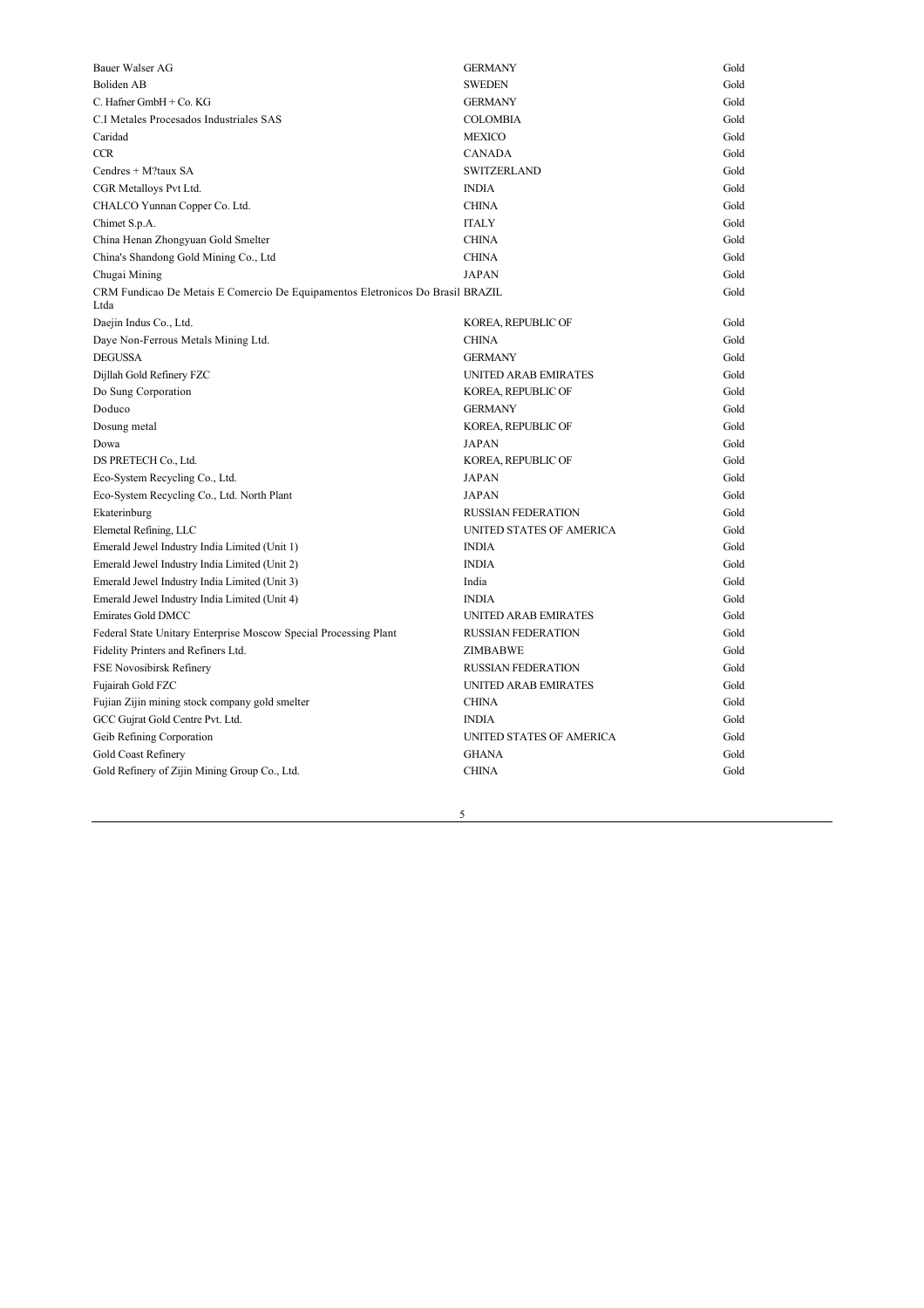| Bauer Walser AG                                                                        | <b>GERMANY</b>            | Gold |
|----------------------------------------------------------------------------------------|---------------------------|------|
| Boliden AB                                                                             | <b>SWEDEN</b>             | Gold |
| C. Hafner GmbH + Co. KG                                                                | <b>GERMANY</b>            | Gold |
| C.I Metales Procesados Industriales SAS                                                | <b>COLOMBIA</b>           | Gold |
| Caridad                                                                                | <b>MEXICO</b>             | Gold |
| <b>CCR</b>                                                                             | <b>CANADA</b>             | Gold |
| Cendres + M?taux SA                                                                    | <b>SWITZERLAND</b>        | Gold |
| CGR Metalloys Pvt Ltd.                                                                 | <b>INDIA</b>              | Gold |
| CHALCO Yunnan Copper Co. Ltd.                                                          | <b>CHINA</b>              | Gold |
| Chimet S.p.A.                                                                          | <b>ITALY</b>              | Gold |
| China Henan Zhongyuan Gold Smelter                                                     | <b>CHINA</b>              | Gold |
| China's Shandong Gold Mining Co., Ltd                                                  | <b>CHINA</b>              | Gold |
| Chugai Mining                                                                          | <b>JAPAN</b>              | Gold |
| CRM Fundicao De Metais E Comercio De Equipamentos Eletronicos Do Brasil BRAZIL<br>Ltda |                           | Gold |
| Daejin Indus Co., Ltd.                                                                 | KOREA, REPUBLIC OF        | Gold |
| Daye Non-Ferrous Metals Mining Ltd.                                                    | <b>CHINA</b>              | Gold |
| <b>DEGUSSA</b>                                                                         | <b>GERMANY</b>            | Gold |
| Dijllah Gold Refinery FZC                                                              | UNITED ARAB EMIRATES      | Gold |
| Do Sung Corporation                                                                    | KOREA, REPUBLIC OF        | Gold |
| Doduco                                                                                 | <b>GERMANY</b>            | Gold |
| Dosung metal                                                                           | KOREA, REPUBLIC OF        | Gold |
| Dowa                                                                                   | <b>JAPAN</b>              | Gold |
| DS PRETECH Co., Ltd.                                                                   | KOREA, REPUBLIC OF        | Gold |
| Eco-System Recycling Co., Ltd.                                                         | JAPAN                     | Gold |
| Eco-System Recycling Co., Ltd. North Plant                                             | <b>JAPAN</b>              | Gold |
| Ekaterinburg                                                                           | <b>RUSSIAN FEDERATION</b> | Gold |
| Elemetal Refining, LLC                                                                 | UNITED STATES OF AMERICA  | Gold |
| Emerald Jewel Industry India Limited (Unit 1)                                          | <b>INDIA</b>              | Gold |
| Emerald Jewel Industry India Limited (Unit 2)                                          | <b>INDIA</b>              | Gold |
| Emerald Jewel Industry India Limited (Unit 3)                                          | India                     | Gold |
| Emerald Jewel Industry India Limited (Unit 4)                                          | <b>INDIA</b>              | Gold |
| Emirates Gold DMCC                                                                     | UNITED ARAB EMIRATES      | Gold |
| Federal State Unitary Enterprise Moscow Special Processing Plant                       | <b>RUSSIAN FEDERATION</b> | Gold |
| Fidelity Printers and Refiners Ltd.                                                    | ZIMBABWE                  | Gold |
| FSE Novosibirsk Refinery                                                               | <b>RUSSIAN FEDERATION</b> | Gold |
| Fujairah Gold FZC                                                                      | UNITED ARAB EMIRATES      | Gold |
| Fujian Zijin mining stock company gold smelter                                         | <b>CHINA</b>              | Gold |
| GCC Gujrat Gold Centre Pvt. Ltd.                                                       | <b>INDIA</b>              | Gold |
| Geib Refining Corporation                                                              | UNITED STATES OF AMERICA  | Gold |
| Gold Coast Refinery                                                                    | <b>GHANA</b>              | Gold |
| Gold Refinery of Zijin Mining Group Co., Ltd.                                          | <b>CHINA</b>              | Gold |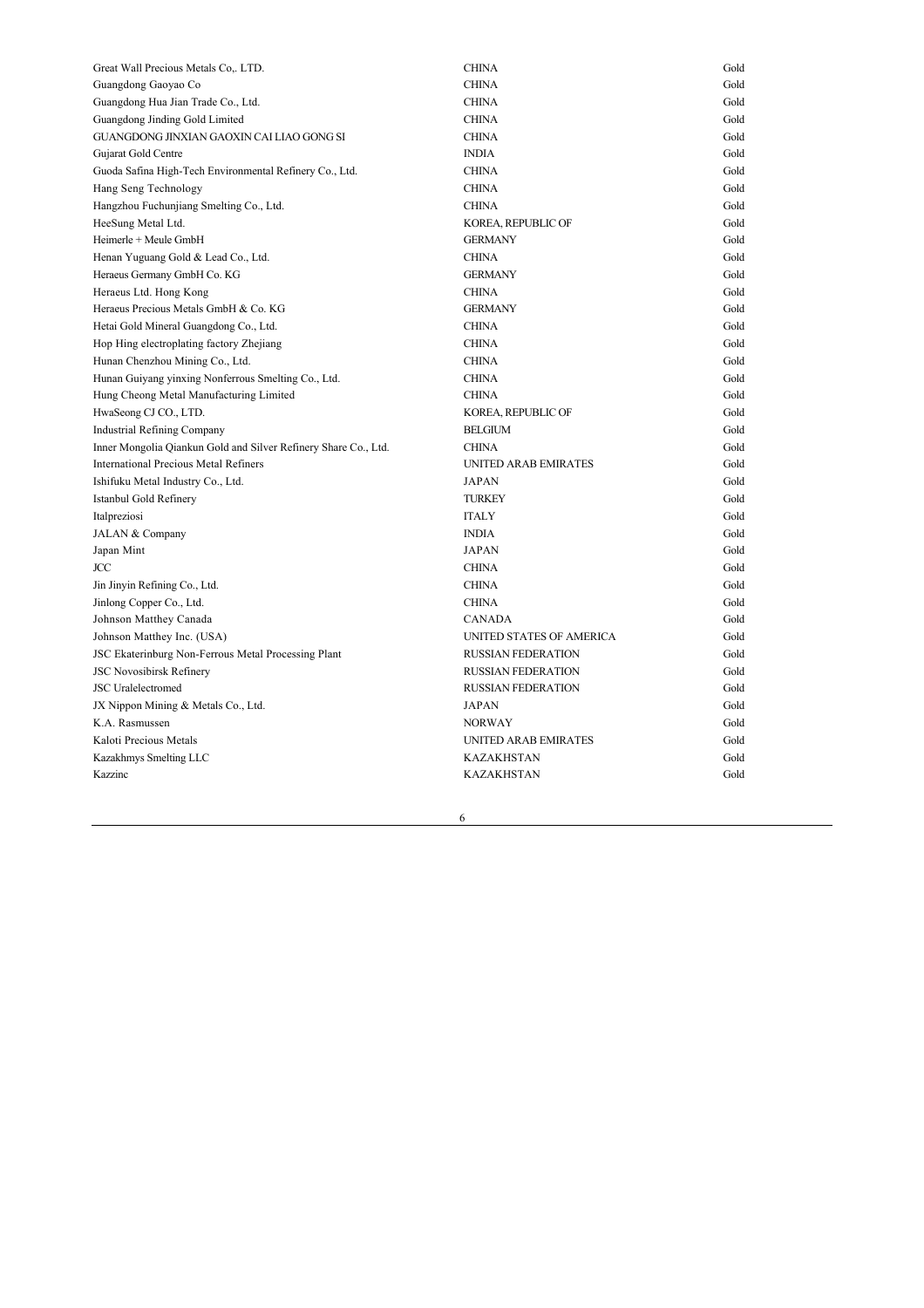| Great Wall Precious Metals Co,. LTD.                            | <b>CHINA</b>              | Gold |
|-----------------------------------------------------------------|---------------------------|------|
| Guangdong Gaoyao Co                                             | <b>CHINA</b>              | Gold |
| Guangdong Hua Jian Trade Co., Ltd.                              | <b>CHINA</b>              | Gold |
| Guangdong Jinding Gold Limited                                  | <b>CHINA</b>              | Gold |
| GUANGDONG JINXIAN GAOXIN CAI LIAO GONG SI                       | <b>CHINA</b>              | Gold |
| Gujarat Gold Centre                                             | <b>INDIA</b>              | Gold |
| Guoda Safina High-Tech Environmental Refinery Co., Ltd.         | <b>CHINA</b>              | Gold |
| Hang Seng Technology                                            | <b>CHINA</b>              | Gold |
| Hangzhou Fuchunjiang Smelting Co., Ltd.                         | <b>CHINA</b>              | Gold |
| HeeSung Metal Ltd.                                              | KOREA, REPUBLIC OF        | Gold |
| Heimerle + Meule GmbH                                           | <b>GERMANY</b>            | Gold |
| Henan Yuguang Gold & Lead Co., Ltd.                             | <b>CHINA</b>              | Gold |
| Heraeus Germany GmbH Co. KG                                     | <b>GERMANY</b>            | Gold |
| Heraeus Ltd. Hong Kong                                          | <b>CHINA</b>              | Gold |
| Heraeus Precious Metals GmbH & Co. KG                           | <b>GERMANY</b>            | Gold |
| Hetai Gold Mineral Guangdong Co., Ltd.                          | <b>CHINA</b>              | Gold |
| Hop Hing electroplating factory Zhejiang                        | <b>CHINA</b>              | Gold |
| Hunan Chenzhou Mining Co., Ltd.                                 | <b>CHINA</b>              | Gold |
| Hunan Guiyang yinxing Nonferrous Smelting Co., Ltd.             | <b>CHINA</b>              | Gold |
| Hung Cheong Metal Manufacturing Limited                         | <b>CHINA</b>              | Gold |
| HwaSeong CJ CO., LTD.                                           | KOREA, REPUBLIC OF        | Gold |
| <b>Industrial Refining Company</b>                              | <b>BELGIUM</b>            | Gold |
| Inner Mongolia Qiankun Gold and Silver Refinery Share Co., Ltd. | <b>CHINA</b>              | Gold |
| <b>International Precious Metal Refiners</b>                    | UNITED ARAB EMIRATES      | Gold |
| Ishifuku Metal Industry Co., Ltd.                               | <b>JAPAN</b>              | Gold |
| Istanbul Gold Refinery                                          | <b>TURKEY</b>             | Gold |
| Italpreziosi                                                    | <b>ITALY</b>              | Gold |
| JALAN & Company                                                 | <b>INDIA</b>              | Gold |
| Japan Mint                                                      | <b>JAPAN</b>              | Gold |
| JCC                                                             | <b>CHINA</b>              | Gold |
| Jin Jinyin Refining Co., Ltd.                                   | <b>CHINA</b>              | Gold |
| Jinlong Copper Co., Ltd.                                        | <b>CHINA</b>              | Gold |
| Johnson Matthey Canada                                          | <b>CANADA</b>             | Gold |
| Johnson Matthey Inc. (USA)                                      | UNITED STATES OF AMERICA  | Gold |
| JSC Ekaterinburg Non-Ferrous Metal Processing Plant             | <b>RUSSIAN FEDERATION</b> | Gold |
| <b>JSC Novosibirsk Refinery</b>                                 | <b>RUSSIAN FEDERATION</b> | Gold |
| <b>JSC</b> Uralelectromed                                       | <b>RUSSIAN FEDERATION</b> | Gold |
| JX Nippon Mining & Metals Co., Ltd.                             | <b>JAPAN</b>              | Gold |
| K.A. Rasmussen                                                  | <b>NORWAY</b>             | Gold |
| Kaloti Precious Metals                                          | UNITED ARAB EMIRATES      | Gold |
| Kazakhmys Smelting LLC                                          | <b>KAZAKHSTAN</b>         | Gold |
| Kazzinc                                                         | <b>KAZAKHSTAN</b>         | Gold |
|                                                                 |                           |      |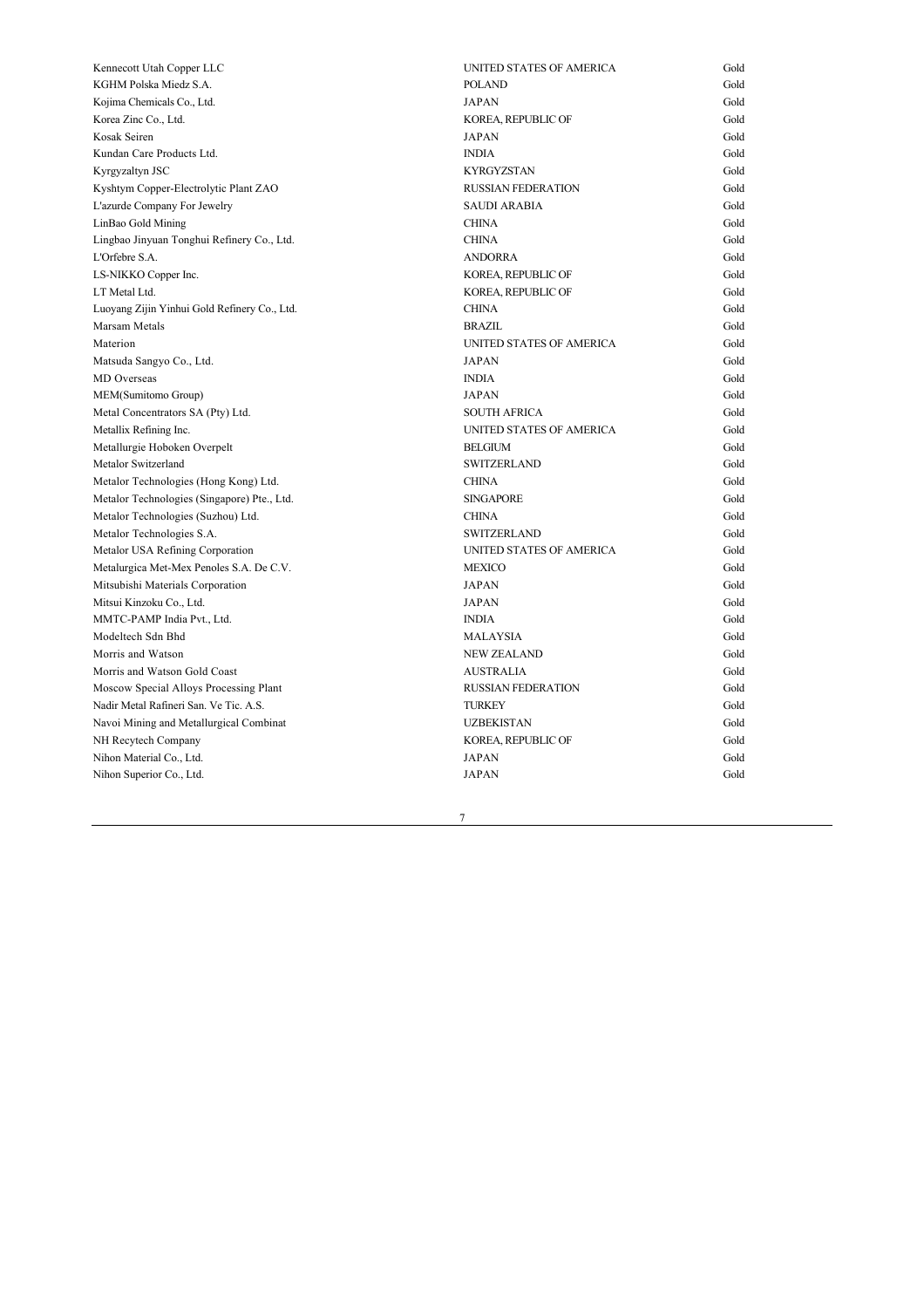| Kennecott Utah Copper LLC                    | UNITED STATES OF AMERICA  | Gold |
|----------------------------------------------|---------------------------|------|
| KGHM Polska Miedz S.A.                       | <b>POLAND</b>             | Gold |
| Kojima Chemicals Co., Ltd.                   | <b>JAPAN</b>              | Gold |
| Korea Zinc Co., Ltd.                         | KOREA, REPUBLIC OF        | Gold |
| Kosak Seiren                                 | <b>JAPAN</b>              | Gold |
| Kundan Care Products Ltd.                    | <b>INDIA</b>              | Gold |
| Kyrgyzaltyn JSC                              | <b>KYRGYZSTAN</b>         | Gold |
| Kyshtym Copper-Electrolytic Plant ZAO        | <b>RUSSIAN FEDERATION</b> | Gold |
| L'azurde Company For Jewelry                 | <b>SAUDI ARABIA</b>       | Gold |
| LinBao Gold Mining                           | <b>CHINA</b>              | Gold |
| Lingbao Jinyuan Tonghui Refinery Co., Ltd.   | <b>CHINA</b>              | Gold |
| L'Orfebre S.A.                               | <b>ANDORRA</b>            | Gold |
| LS-NIKKO Copper Inc.                         | KOREA, REPUBLIC OF        | Gold |
| LT Metal Ltd.                                | KOREA, REPUBLIC OF        | Gold |
| Luoyang Zijin Yinhui Gold Refinery Co., Ltd. | <b>CHINA</b>              | Gold |
| Marsam Metals                                | <b>BRAZIL</b>             | Gold |
| Materion                                     | UNITED STATES OF AMERICA  | Gold |
| Matsuda Sangyo Co., Ltd.                     | <b>JAPAN</b>              | Gold |
| MD Overseas                                  | <b>INDIA</b>              | Gold |
| MEM(Sumitomo Group)                          | <b>JAPAN</b>              | Gold |
| Metal Concentrators SA (Pty) Ltd.            | <b>SOUTH AFRICA</b>       | Gold |
| Metallix Refining Inc.                       | UNITED STATES OF AMERICA  | Gold |
| Metallurgie Hoboken Overpelt                 | <b>BELGIUM</b>            | Gold |
| Metalor Switzerland                          | <b>SWITZERLAND</b>        | Gold |
| Metalor Technologies (Hong Kong) Ltd.        | <b>CHINA</b>              | Gold |
| Metalor Technologies (Singapore) Pte., Ltd.  | <b>SINGAPORE</b>          | Gold |
| Metalor Technologies (Suzhou) Ltd.           | <b>CHINA</b>              | Gold |
| Metalor Technologies S.A.                    | <b>SWITZERLAND</b>        | Gold |
| Metalor USA Refining Corporation             | UNITED STATES OF AMERICA  | Gold |
| Metalurgica Met-Mex Penoles S.A. De C.V.     | <b>MEXICO</b>             | Gold |
| Mitsubishi Materials Corporation             | JAPAN                     | Gold |
| Mitsui Kinzoku Co., Ltd.                     | <b>JAPAN</b>              | Gold |
| MMTC-PAMP India Pvt., Ltd.                   | <b>INDIA</b>              | Gold |
| Modeltech Sdn Bhd                            | <b>MALAYSIA</b>           | Gold |
| Morris and Watson                            | <b>NEW ZEALAND</b>        | Gold |
| Morris and Watson Gold Coast                 | <b>AUSTRALIA</b>          | Gold |
| Moscow Special Alloys Processing Plant       | <b>RUSSIAN FEDERATION</b> | Gold |
| Nadir Metal Rafineri San. Ve Tic. A.S.       | <b>TURKEY</b>             | Gold |
| Navoi Mining and Metallurgical Combinat      | <b>UZBEKISTAN</b>         | Gold |
| NH Recytech Company                          | KOREA, REPUBLIC OF        | Gold |
| Nihon Material Co., Ltd.                     | <b>JAPAN</b>              | Gold |
| Nihon Superior Co., Ltd.                     | <b>JAPAN</b>              | Gold |
|                                              |                           |      |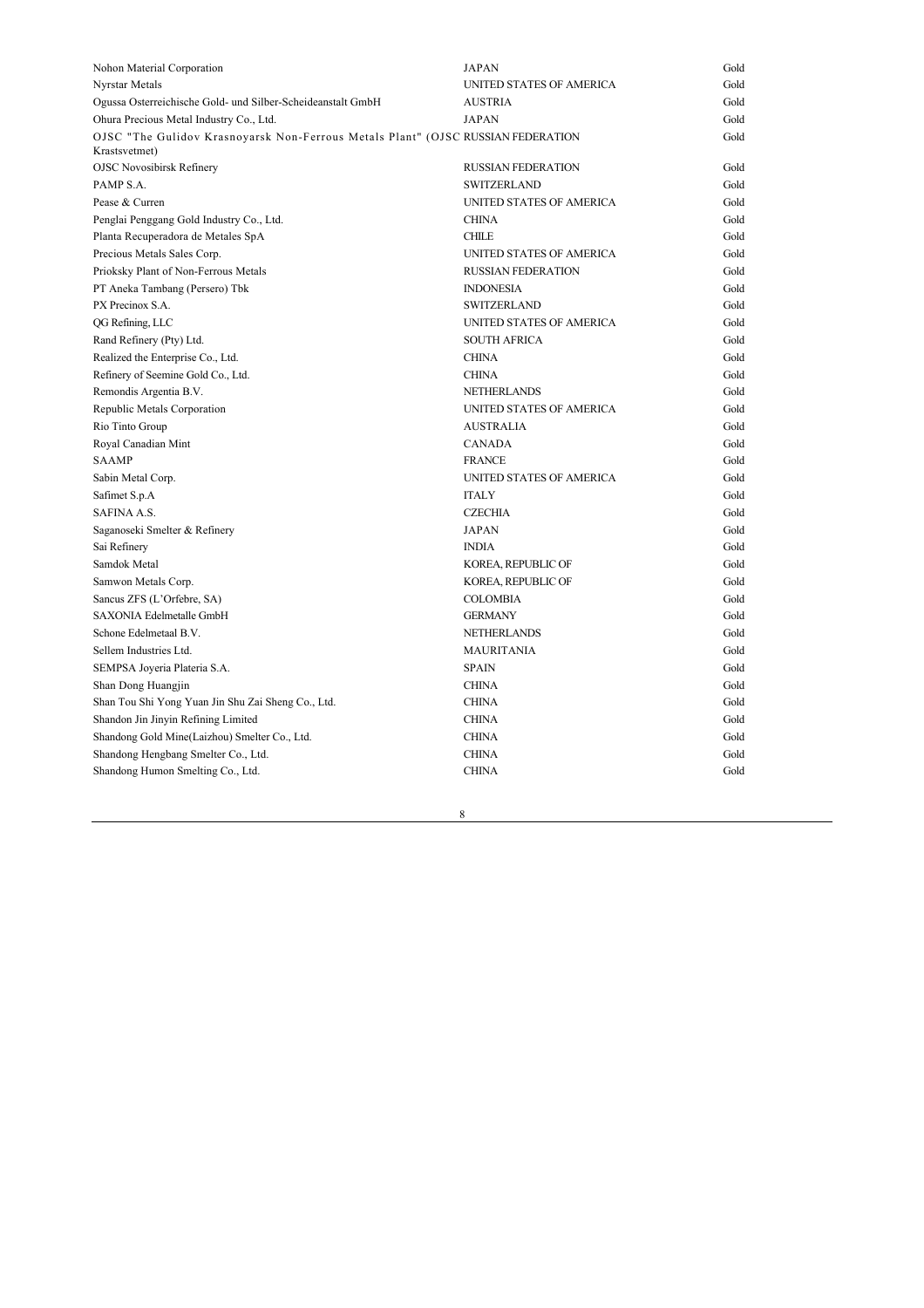| Nohon Material Corporation                                                                        | <b>JAPAN</b>              | Gold |
|---------------------------------------------------------------------------------------------------|---------------------------|------|
| Nyrstar Metals                                                                                    | UNITED STATES OF AMERICA  | Gold |
| Ogussa Osterreichische Gold- und Silber-Scheideanstalt GmbH                                       | <b>AUSTRIA</b>            | Gold |
| Ohura Precious Metal Industry Co., Ltd.                                                           | <b>JAPAN</b>              | Gold |
| OJSC "The Gulidov Krasnoyarsk Non-Ferrous Metals Plant" (OJSC RUSSIAN FEDERATION<br>Krastsvetmet) |                           | Gold |
| <b>OJSC Novosibirsk Refinery</b>                                                                  | <b>RUSSIAN FEDERATION</b> | Gold |
| PAMP S.A.                                                                                         | <b>SWITZERLAND</b>        | Gold |
| Pease & Curren                                                                                    | UNITED STATES OF AMERICA  | Gold |
| Penglai Penggang Gold Industry Co., Ltd.                                                          | <b>CHINA</b>              | Gold |
| Planta Recuperadora de Metales SpA                                                                | <b>CHILE</b>              | Gold |
| Precious Metals Sales Corp.                                                                       | UNITED STATES OF AMERICA  | Gold |
| Prioksky Plant of Non-Ferrous Metals                                                              | <b>RUSSIAN FEDERATION</b> | Gold |
| PT Aneka Tambang (Persero) Tbk                                                                    | <b>INDONESIA</b>          | Gold |
| PX Precinox S.A.                                                                                  | <b>SWITZERLAND</b>        | Gold |
| QG Refining, LLC                                                                                  | UNITED STATES OF AMERICA  | Gold |
| Rand Refinery (Pty) Ltd.                                                                          | <b>SOUTH AFRICA</b>       | Gold |
| Realized the Enterprise Co., Ltd.                                                                 | <b>CHINA</b>              | Gold |
| Refinery of Seemine Gold Co., Ltd.                                                                | <b>CHINA</b>              | Gold |
| Remondis Argentia B.V.                                                                            | <b>NETHERLANDS</b>        | Gold |
| Republic Metals Corporation                                                                       | UNITED STATES OF AMERICA  | Gold |
| Rio Tinto Group                                                                                   | <b>AUSTRALIA</b>          | Gold |
| Royal Canadian Mint                                                                               | <b>CANADA</b>             | Gold |
| <b>SAAMP</b>                                                                                      | <b>FRANCE</b>             | Gold |
| Sabin Metal Corp.                                                                                 | UNITED STATES OF AMERICA  | Gold |
| Safimet S.p.A                                                                                     | <b>ITALY</b>              | Gold |
| SAFINA A.S.                                                                                       | <b>CZECHIA</b>            | Gold |
| Saganoseki Smelter & Refinery                                                                     | <b>JAPAN</b>              | Gold |
| Sai Refinery                                                                                      | <b>INDIA</b>              | Gold |
| Samdok Metal                                                                                      | KOREA, REPUBLIC OF        | Gold |
| Samwon Metals Corp.                                                                               | KOREA, REPUBLIC OF        | Gold |
| Sancus ZFS (L'Orfebre, SA)                                                                        | <b>COLOMBIA</b>           | Gold |
| SAXONIA Edelmetalle GmbH                                                                          | <b>GERMANY</b>            | Gold |
| Schone Edelmetaal B.V.                                                                            | <b>NETHERLANDS</b>        | Gold |
| Sellem Industries Ltd.                                                                            | <b>MAURITANIA</b>         | Gold |
| SEMPSA Joyeria Plateria S.A.                                                                      | <b>SPAIN</b>              | Gold |
| Shan Dong Huangjin                                                                                | <b>CHINA</b>              | Gold |
| Shan Tou Shi Yong Yuan Jin Shu Zai Sheng Co., Ltd.                                                | <b>CHINA</b>              | Gold |
| Shandon Jin Jinyin Refining Limited                                                               | <b>CHINA</b>              | Gold |
| Shandong Gold Mine(Laizhou) Smelter Co., Ltd.                                                     | <b>CHINA</b>              | Gold |
| Shandong Hengbang Smelter Co., Ltd.                                                               | <b>CHINA</b>              | Gold |
| Shandong Humon Smelting Co., Ltd.                                                                 | <b>CHINA</b>              | Gold |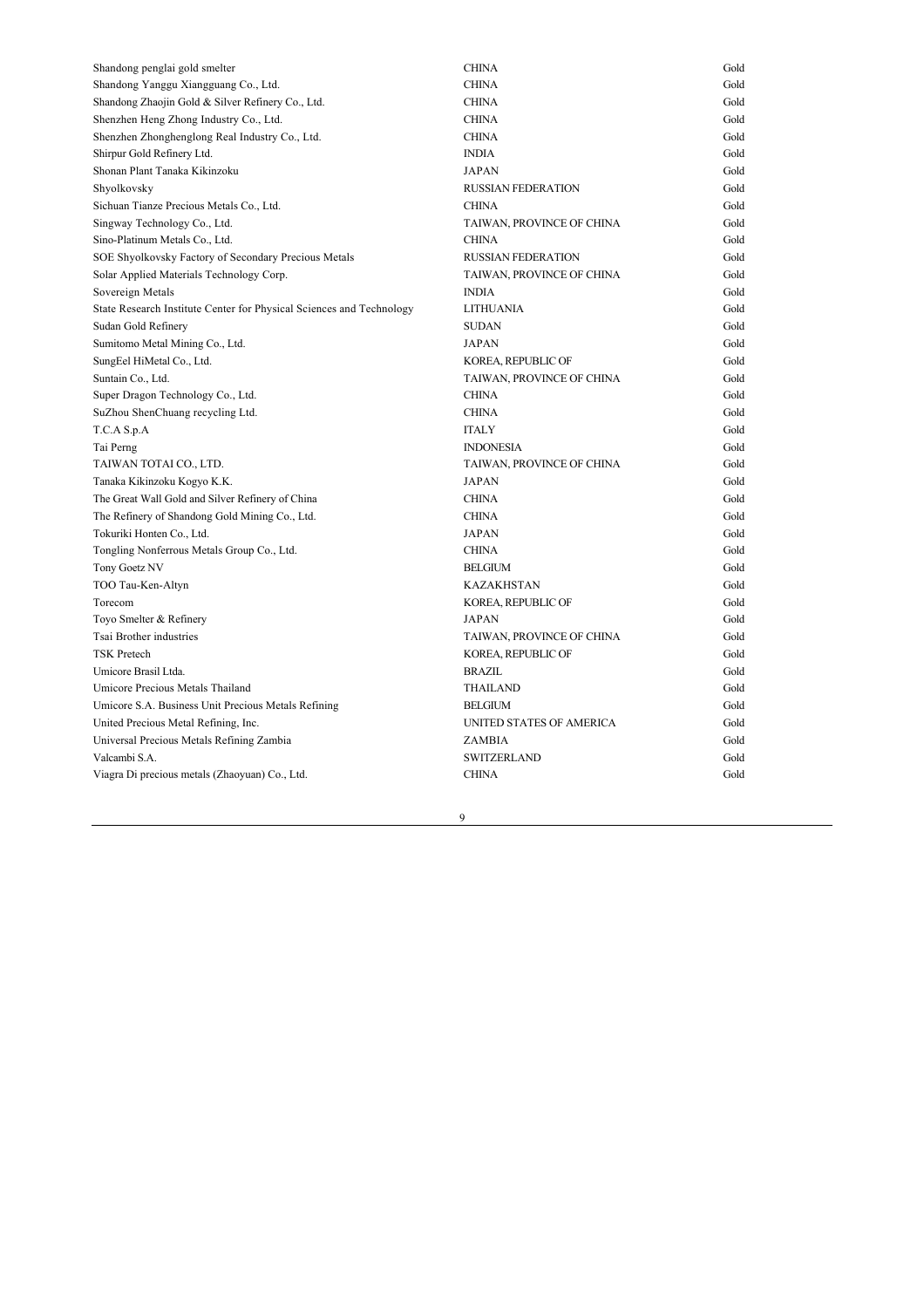| Shandong penglai gold smelter                                        | <b>CHINA</b>              | Gold |
|----------------------------------------------------------------------|---------------------------|------|
| Shandong Yanggu Xiangguang Co., Ltd.                                 | <b>CHINA</b>              | Gold |
| Shandong Zhaojin Gold & Silver Refinery Co., Ltd.                    | <b>CHINA</b>              | Gold |
| Shenzhen Heng Zhong Industry Co., Ltd.                               | <b>CHINA</b>              | Gold |
| Shenzhen Zhonghenglong Real Industry Co., Ltd.                       | <b>CHINA</b>              | Gold |
| Shirpur Gold Refinery Ltd.                                           | <b>INDIA</b>              | Gold |
| Shonan Plant Tanaka Kikinzoku                                        | <b>JAPAN</b>              | Gold |
| Shyolkovsky                                                          | <b>RUSSIAN FEDERATION</b> | Gold |
| Sichuan Tianze Precious Metals Co., Ltd.                             | <b>CHINA</b>              | Gold |
| Singway Technology Co., Ltd.                                         | TAIWAN, PROVINCE OF CHINA | Gold |
| Sino-Platinum Metals Co., Ltd.                                       | <b>CHINA</b>              | Gold |
| SOE Shyolkovsky Factory of Secondary Precious Metals                 | <b>RUSSIAN FEDERATION</b> | Gold |
| Solar Applied Materials Technology Corp.                             | TAIWAN, PROVINCE OF CHINA | Gold |
| Sovereign Metals                                                     | <b>INDIA</b>              | Gold |
| State Research Institute Center for Physical Sciences and Technology | <b>LITHUANIA</b>          | Gold |
| Sudan Gold Refinery                                                  | <b>SUDAN</b>              | Gold |
| Sumitomo Metal Mining Co., Ltd.                                      | <b>JAPAN</b>              | Gold |
| SungEel HiMetal Co., Ltd.                                            | KOREA, REPUBLIC OF        | Gold |
| Suntain Co., Ltd.                                                    | TAIWAN, PROVINCE OF CHINA | Gold |
| Super Dragon Technology Co., Ltd.                                    | <b>CHINA</b>              | Gold |
| SuZhou ShenChuang recycling Ltd.                                     | <b>CHINA</b>              | Gold |
| T.C.A S.p.A                                                          | <b>ITALY</b>              | Gold |
| Tai Perng                                                            | <b>INDONESIA</b>          | Gold |
| TAIWAN TOTAI CO., LTD.                                               | TAIWAN, PROVINCE OF CHINA | Gold |
| Tanaka Kikinzoku Kogyo K.K.                                          | <b>JAPAN</b>              | Gold |
| The Great Wall Gold and Silver Refinery of China                     | <b>CHINA</b>              | Gold |
| The Refinery of Shandong Gold Mining Co., Ltd.                       | <b>CHINA</b>              | Gold |
| Tokuriki Honten Co., Ltd.                                            | <b>JAPAN</b>              | Gold |
| Tongling Nonferrous Metals Group Co., Ltd.                           | <b>CHINA</b>              | Gold |
| Tony Goetz NV                                                        | <b>BELGIUM</b>            | Gold |
| TOO Tau-Ken-Altyn                                                    | <b>KAZAKHSTAN</b>         | Gold |
| Torecom                                                              | KOREA, REPUBLIC OF        | Gold |
| Toyo Smelter & Refinery                                              | <b>JAPAN</b>              | Gold |
| Tsai Brother industries                                              | TAIWAN, PROVINCE OF CHINA | Gold |
| <b>TSK Pretech</b>                                                   | KOREA, REPUBLIC OF        | Gold |
| Umicore Brasil Ltda.                                                 | <b>BRAZIL</b>             | Gold |
| Umicore Precious Metals Thailand                                     | THAILAND                  | Gold |
| Umicore S.A. Business Unit Precious Metals Refining                  | <b>BELGIUM</b>            | Gold |
| United Precious Metal Refining, Inc.                                 | UNITED STATES OF AMERICA  | Gold |
| Universal Precious Metals Refining Zambia                            | ZAMBIA                    | Gold |
| Valcambi S.A.                                                        | <b>SWITZERLAND</b>        | Gold |
| Viagra Di precious metals (Zhaoyuan) Co., Ltd.                       | <b>CHINA</b>              | Gold |
|                                                                      |                           |      |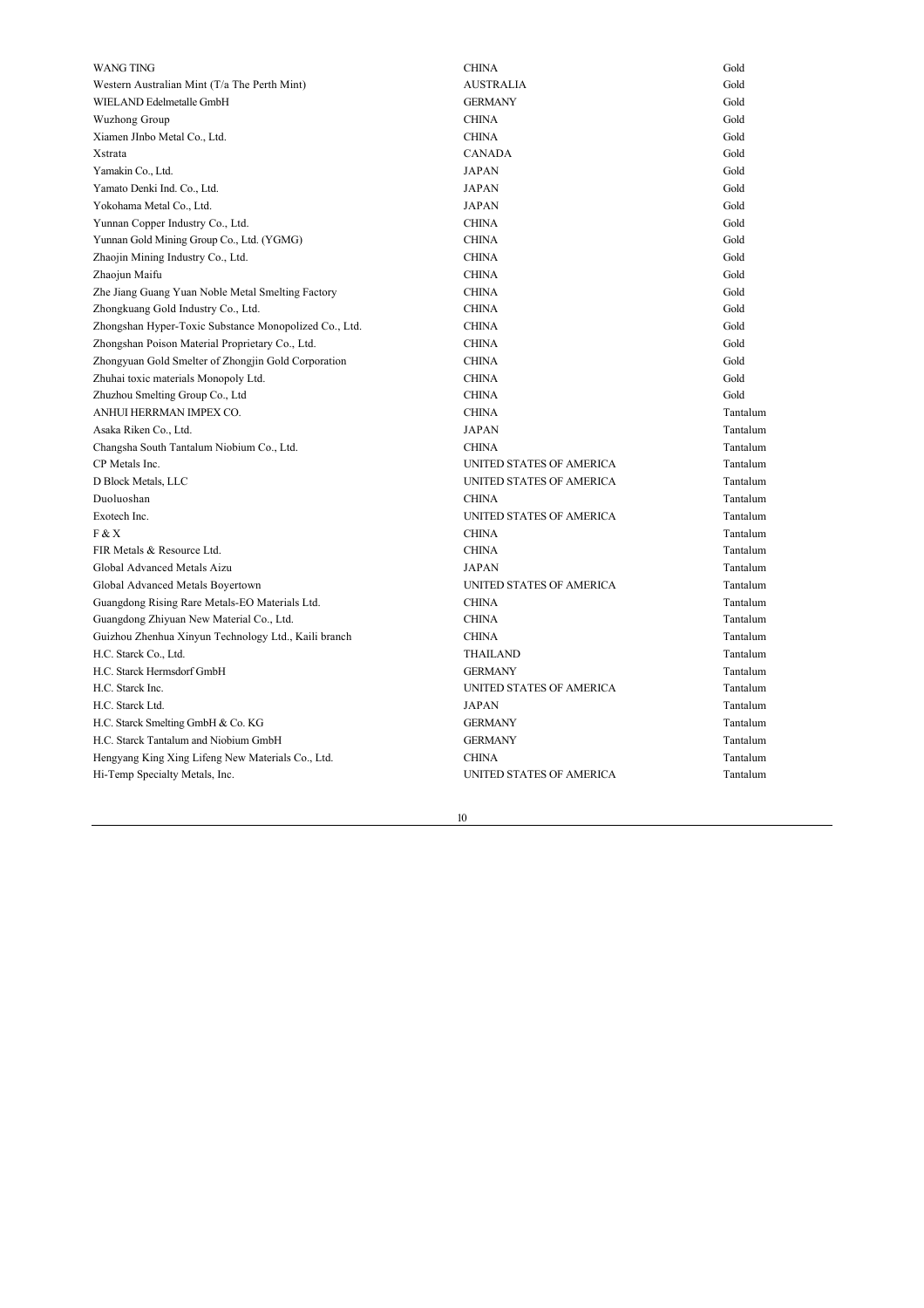| WANG TING                                             | <b>CHINA</b>             | Gold     |
|-------------------------------------------------------|--------------------------|----------|
| Western Australian Mint (T/a The Perth Mint)          | <b>AUSTRALIA</b>         | Gold     |
| WIELAND Edelmetalle GmbH                              | <b>GERMANY</b>           | Gold     |
| Wuzhong Group                                         | <b>CHINA</b>             | Gold     |
| Xiamen JInbo Metal Co., Ltd.                          | <b>CHINA</b>             | Gold     |
| Xstrata                                               | <b>CANADA</b>            | Gold     |
| Yamakin Co., Ltd.                                     | <b>JAPAN</b>             | Gold     |
| Yamato Denki Ind. Co., Ltd.                           | <b>JAPAN</b>             | Gold     |
| Yokohama Metal Co., Ltd.                              | <b>JAPAN</b>             | Gold     |
| Yunnan Copper Industry Co., Ltd.                      | <b>CHINA</b>             | Gold     |
| Yunnan Gold Mining Group Co., Ltd. (YGMG)             | <b>CHINA</b>             | Gold     |
| Zhaojin Mining Industry Co., Ltd.                     | <b>CHINA</b>             | Gold     |
| Zhaojun Maifu                                         | <b>CHINA</b>             | Gold     |
| Zhe Jiang Guang Yuan Noble Metal Smelting Factory     | <b>CHINA</b>             | Gold     |
| Zhongkuang Gold Industry Co., Ltd.                    | <b>CHINA</b>             | Gold     |
| Zhongshan Hyper-Toxic Substance Monopolized Co., Ltd. | <b>CHINA</b>             | Gold     |
| Zhongshan Poison Material Proprietary Co., Ltd.       | <b>CHINA</b>             | Gold     |
| Zhongyuan Gold Smelter of Zhongjin Gold Corporation   | <b>CHINA</b>             | Gold     |
| Zhuhai toxic materials Monopoly Ltd.                  | <b>CHINA</b>             | Gold     |
| Zhuzhou Smelting Group Co., Ltd                       | <b>CHINA</b>             | Gold     |
| ANHUI HERRMAN IMPEX CO.                               | <b>CHINA</b>             | Tantalum |
| Asaka Riken Co., Ltd.                                 | <b>JAPAN</b>             | Tantalum |
| Changsha South Tantalum Niobium Co., Ltd.             | <b>CHINA</b>             | Tantalum |
| CP Metals Inc.                                        | UNITED STATES OF AMERICA | Tantalum |
| D Block Metals, LLC                                   | UNITED STATES OF AMERICA | Tantalum |
| Duoluoshan                                            | <b>CHINA</b>             | Tantalum |
| Exotech Inc.                                          | UNITED STATES OF AMERICA | Tantalum |
| F & X                                                 | <b>CHINA</b>             | Tantalum |
| FIR Metals & Resource Ltd.                            | <b>CHINA</b>             | Tantalum |
| Global Advanced Metals Aizu                           | <b>JAPAN</b>             | Tantalum |
| Global Advanced Metals Boyertown                      | UNITED STATES OF AMERICA | Tantalum |
| Guangdong Rising Rare Metals-EO Materials Ltd.        | <b>CHINA</b>             | Tantalum |
| Guangdong Zhiyuan New Material Co., Ltd.              | <b>CHINA</b>             | Tantalum |
| Guizhou Zhenhua Xinyun Technology Ltd., Kaili branch  | <b>CHINA</b>             | Tantalum |
| H.C. Starck Co., Ltd.                                 | <b>THAILAND</b>          | Tantalum |
| H.C. Starck Hermsdorf GmbH                            | <b>GERMANY</b>           | Tantalum |
| H.C. Starck Inc.                                      | UNITED STATES OF AMERICA | Tantalum |
| H.C. Starck Ltd.                                      | <b>JAPAN</b>             | Tantalum |
| H.C. Starck Smelting GmbH & Co. KG                    | <b>GERMANY</b>           | Tantalum |
| H.C. Starck Tantalum and Niobium GmbH                 | <b>GERMANY</b>           | Tantalum |
| Hengyang King Xing Lifeng New Materials Co., Ltd.     | <b>CHINA</b>             | Tantalum |
| Hi-Temp Specialty Metals, Inc.                        | UNITED STATES OF AMERICA | Tantalum |
|                                                       |                          |          |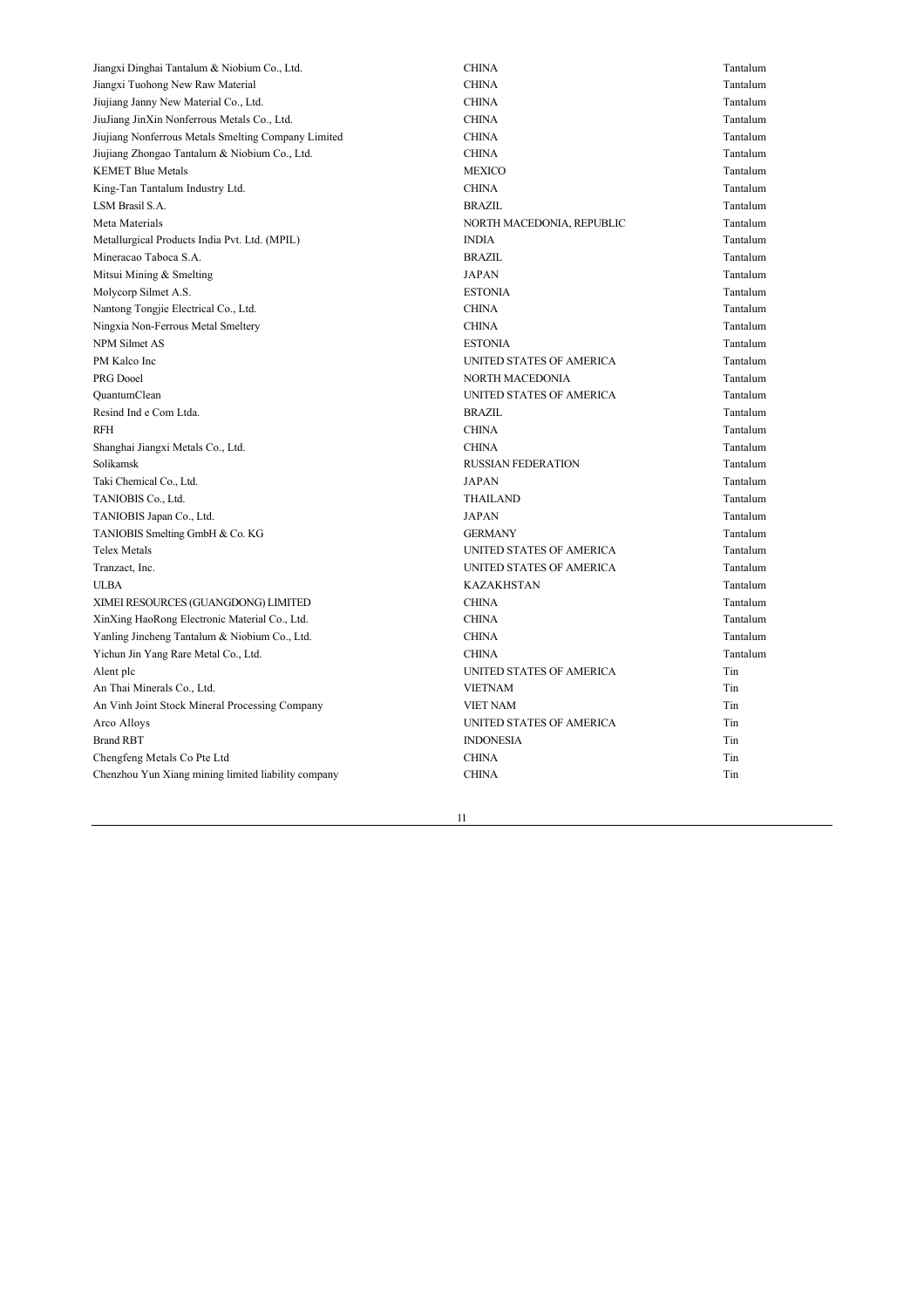| Jiangxi Dinghai Tantalum & Niobium Co., Ltd.        | <b>CHINA</b>              | Tantalum |
|-----------------------------------------------------|---------------------------|----------|
| Jiangxi Tuohong New Raw Material                    | <b>CHINA</b>              | Tantalum |
| Jiujiang Janny New Material Co., Ltd.               | <b>CHINA</b>              | Tantalum |
| JiuJiang JinXin Nonferrous Metals Co., Ltd.         | <b>CHINA</b>              | Tantalum |
| Jiujiang Nonferrous Metals Smelting Company Limited | <b>CHINA</b>              | Tantalum |
| Jiujiang Zhongao Tantalum & Niobium Co., Ltd.       | <b>CHINA</b>              | Tantalum |
| <b>KEMET Blue Metals</b>                            | <b>MEXICO</b>             | Tantalum |
| King-Tan Tantalum Industry Ltd.                     | <b>CHINA</b>              | Tantalum |
| LSM Brasil S.A.                                     | <b>BRAZIL</b>             | Tantalum |
| Meta Materials                                      | NORTH MACEDONIA, REPUBLIC | Tantalum |
| Metallurgical Products India Pvt. Ltd. (MPIL)       | <b>INDIA</b>              | Tantalum |
| Mineracao Taboca S.A.                               | <b>BRAZIL</b>             | Tantalum |
| Mitsui Mining & Smelting                            | <b>JAPAN</b>              | Tantalum |
| Molycorp Silmet A.S.                                | <b>ESTONIA</b>            | Tantalum |
| Nantong Tongjie Electrical Co., Ltd.                | <b>CHINA</b>              | Tantalum |
| Ningxia Non-Ferrous Metal Smeltery                  | <b>CHINA</b>              | Tantalum |
| <b>NPM Silmet AS</b>                                | <b>ESTONIA</b>            | Tantalum |
| PM Kalco Inc                                        | UNITED STATES OF AMERICA  | Tantalum |
| PRG Dooel                                           | <b>NORTH MACEDONIA</b>    | Tantalum |
| QuantumClean                                        | UNITED STATES OF AMERICA  | Tantalum |
| Resind Ind e Com Ltda.                              | <b>BRAZIL</b>             | Tantalum |
| RFH                                                 | <b>CHINA</b>              | Tantalum |
| Shanghai Jiangxi Metals Co., Ltd.                   | <b>CHINA</b>              | Tantalum |
| Solikamsk                                           | <b>RUSSIAN FEDERATION</b> | Tantalum |
| Taki Chemical Co., Ltd.                             | <b>JAPAN</b>              | Tantalum |
| TANIOBIS Co., Ltd.                                  | <b>THAILAND</b>           | Tantalum |
| TANIOBIS Japan Co., Ltd.                            | <b>JAPAN</b>              | Tantalum |
| TANIOBIS Smelting GmbH & Co. KG                     | <b>GERMANY</b>            | Tantalum |
| <b>Telex Metals</b>                                 | UNITED STATES OF AMERICA  | Tantalum |
| Tranzact, Inc.                                      | UNITED STATES OF AMERICA  | Tantalum |
| <b>ULBA</b>                                         | <b>KAZAKHSTAN</b>         | Tantalum |
| XIMEI RESOURCES (GUANGDONG) LIMITED                 | <b>CHINA</b>              | Tantalum |
| XinXing HaoRong Electronic Material Co., Ltd.       | <b>CHINA</b>              | Tantalum |
| Yanling Jincheng Tantalum & Niobium Co., Ltd.       | <b>CHINA</b>              | Tantalum |
| Yichun Jin Yang Rare Metal Co., Ltd.                | <b>CHINA</b>              | Tantalum |
| Alent plc                                           | UNITED STATES OF AMERICA  | Tin      |
| An Thai Minerals Co., Ltd.                          | <b>VIETNAM</b>            | Tin      |
| An Vinh Joint Stock Mineral Processing Company      | <b>VIET NAM</b>           | Tin      |
| Arco Alloys                                         | UNITED STATES OF AMERICA  | Tin      |
| <b>Brand RBT</b>                                    | <b>INDONESIA</b>          | Tin      |
| Chengfeng Metals Co Pte Ltd                         | <b>CHINA</b>              | Tin      |
| Chenzhou Yun Xiang mining limited liability company | <b>CHINA</b>              | Tin      |
|                                                     |                           |          |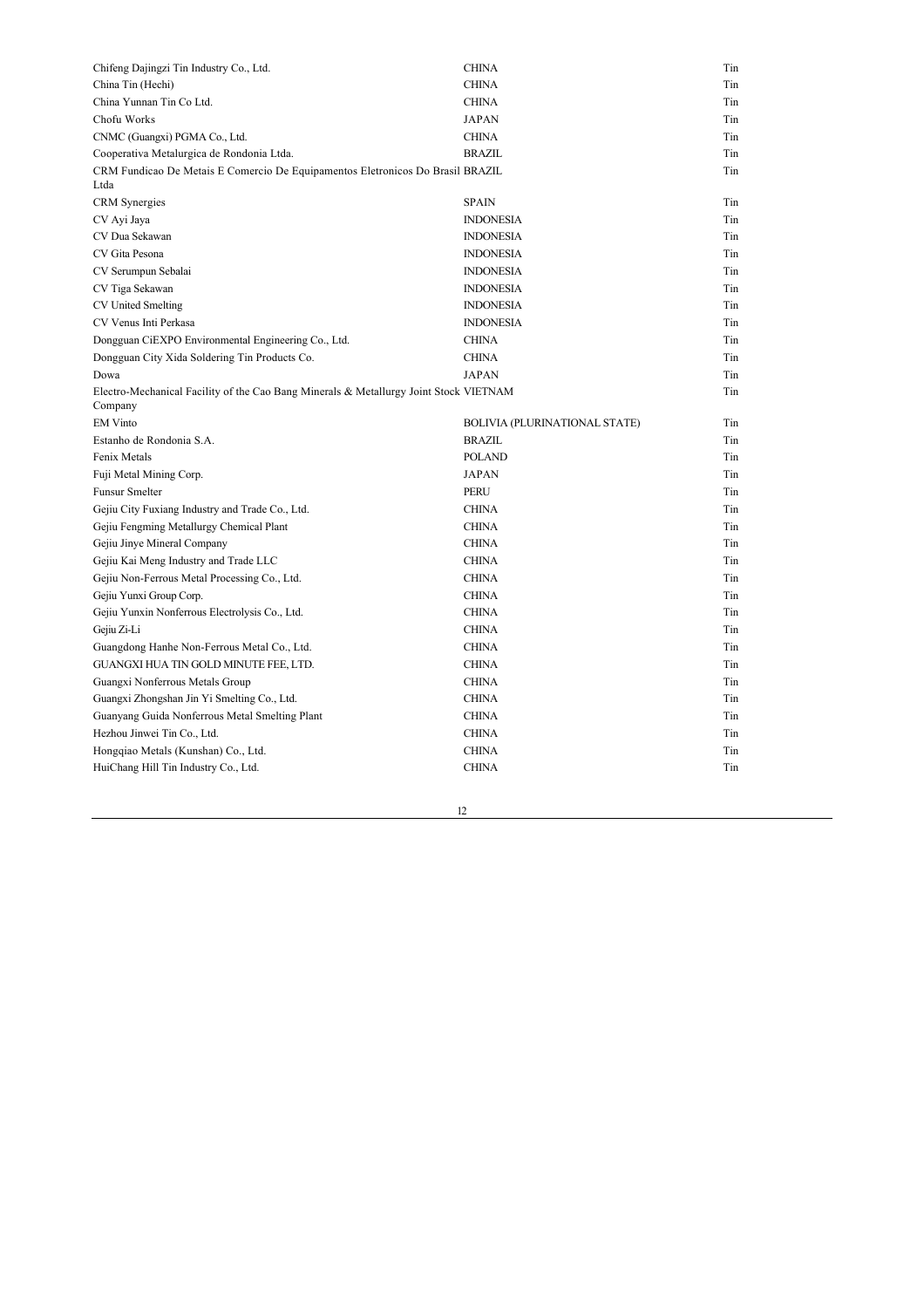| Chifeng Dajingzi Tin Industry Co., Ltd.                                                          | <b>CHINA</b>                  | Tin |
|--------------------------------------------------------------------------------------------------|-------------------------------|-----|
| China Tin (Hechi)                                                                                | <b>CHINA</b>                  | Tin |
| China Yunnan Tin Co Ltd.                                                                         | <b>CHINA</b>                  | Tin |
| Chofu Works                                                                                      | <b>JAPAN</b>                  | Tin |
| CNMC (Guangxi) PGMA Co., Ltd.                                                                    | <b>CHINA</b>                  | Tin |
| Cooperativa Metalurgica de Rondonia Ltda.                                                        | <b>BRAZIL</b>                 | Tin |
| CRM Fundicao De Metais E Comercio De Equipamentos Eletronicos Do Brasil BRAZIL<br>Ltda           |                               | Tin |
| <b>CRM</b> Synergies                                                                             | <b>SPAIN</b>                  | Tin |
| CV Ayi Jaya                                                                                      | <b>INDONESIA</b>              | Tin |
| CV Dua Sekawan                                                                                   | <b>INDONESIA</b>              | Tin |
| CV Gita Pesona                                                                                   | <b>INDONESIA</b>              | Tin |
| CV Serumpun Sebalai                                                                              | <b>INDONESIA</b>              | Tin |
| CV Tiga Sekawan                                                                                  | <b>INDONESIA</b>              | Tin |
| CV United Smelting                                                                               | <b>INDONESIA</b>              | Tin |
| CV Venus Inti Perkasa                                                                            | <b>INDONESIA</b>              | Tin |
| Dongguan CiEXPO Environmental Engineering Co., Ltd.                                              | <b>CHINA</b>                  | Tin |
| Dongguan City Xida Soldering Tin Products Co.                                                    | <b>CHINA</b>                  | Tin |
| Dowa                                                                                             | <b>JAPAN</b>                  | Tin |
| Electro-Mechanical Facility of the Cao Bang Minerals & Metallurgy Joint Stock VIETNAM<br>Company |                               | Tin |
| <b>EM</b> Vinto                                                                                  | BOLIVIA (PLURINATIONAL STATE) | Tin |
| Estanho de Rondonia S.A.                                                                         | <b>BRAZIL</b>                 | Tin |
| Fenix Metals                                                                                     | <b>POLAND</b>                 | Tin |
| Fuji Metal Mining Corp.                                                                          | <b>JAPAN</b>                  | Tin |
| Funsur Smelter                                                                                   | PERU                          | Tin |
| Gejiu City Fuxiang Industry and Trade Co., Ltd.                                                  | <b>CHINA</b>                  | Tin |
| Gejiu Fengming Metallurgy Chemical Plant                                                         | <b>CHINA</b>                  | Tin |
| Gejiu Jinye Mineral Company                                                                      | <b>CHINA</b>                  | Tin |
| Gejiu Kai Meng Industry and Trade LLC                                                            | <b>CHINA</b>                  | Tin |
| Gejiu Non-Ferrous Metal Processing Co., Ltd.                                                     | <b>CHINA</b>                  | Tin |
| Gejiu Yunxi Group Corp.                                                                          | <b>CHINA</b>                  | Tin |
| Gejiu Yunxin Nonferrous Electrolysis Co., Ltd.                                                   | <b>CHINA</b>                  | Tin |
| Gejiu Zi-Li                                                                                      | <b>CHINA</b>                  | Tin |
| Guangdong Hanhe Non-Ferrous Metal Co., Ltd.                                                      | <b>CHINA</b>                  | Tin |
| GUANGXI HUA TIN GOLD MINUTE FEE, LTD.                                                            | <b>CHINA</b>                  | Tin |
| Guangxi Nonferrous Metals Group                                                                  | <b>CHINA</b>                  | Tin |
| Guangxi Zhongshan Jin Yi Smelting Co., Ltd.                                                      | <b>CHINA</b>                  | Tin |
| Guanyang Guida Nonferrous Metal Smelting Plant                                                   | <b>CHINA</b>                  | Tin |
| Hezhou Jinwei Tin Co., Ltd.                                                                      | <b>CHINA</b>                  | Tin |
| Hongqiao Metals (Kunshan) Co., Ltd.                                                              | <b>CHINA</b>                  | Tin |
| HuiChang Hill Tin Industry Co., Ltd.                                                             | <b>CHINA</b>                  | Tin |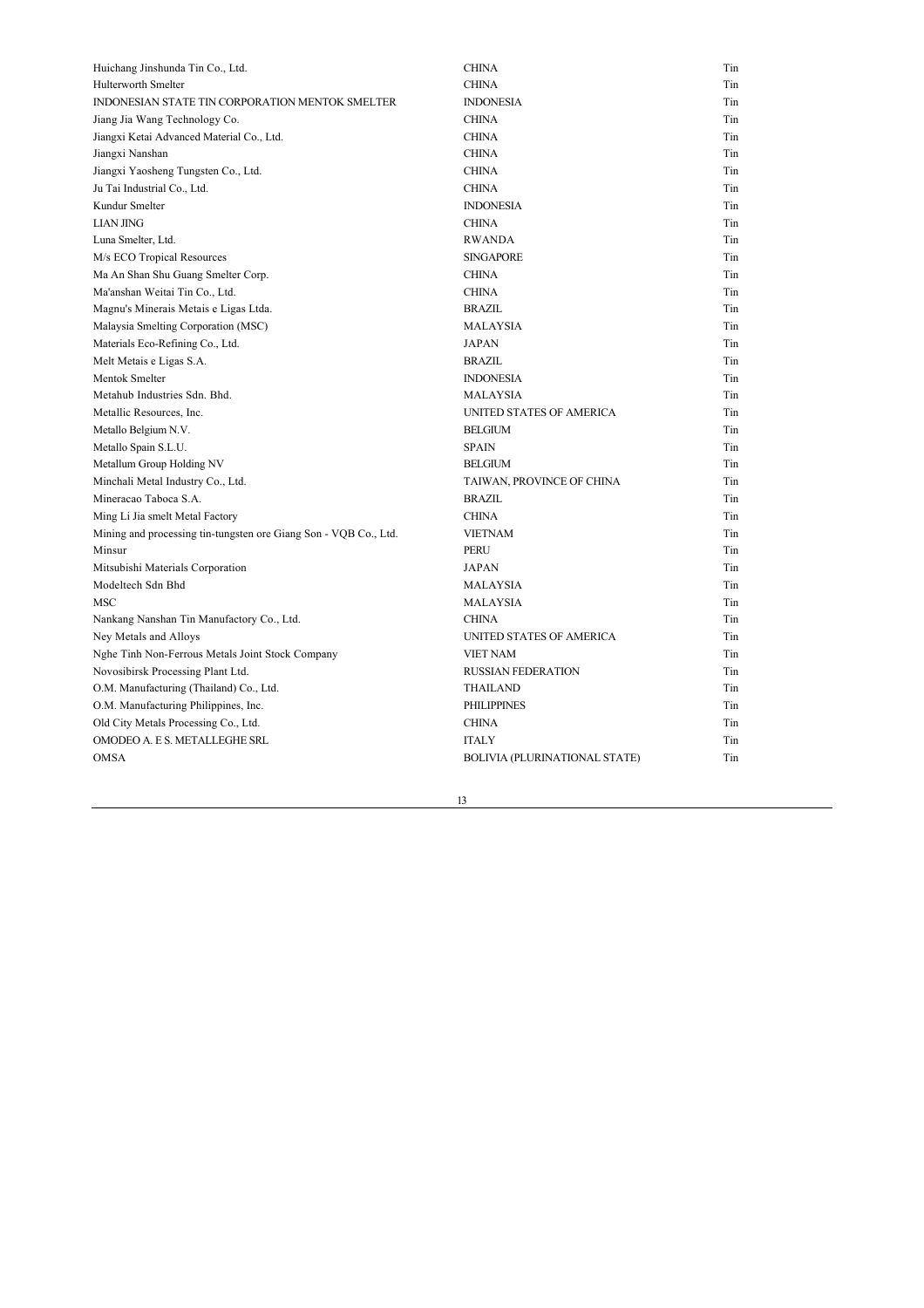| Huichang Jinshunda Tin Co., Ltd.                                 | <b>CHINA</b>                  | Tin |
|------------------------------------------------------------------|-------------------------------|-----|
| Hulterworth Smelter                                              | <b>CHINA</b>                  | Tin |
| INDONESIAN STATE TIN CORPORATION MENTOK SMELTER                  | <b>INDONESIA</b>              | Tin |
| Jiang Jia Wang Technology Co.                                    | <b>CHINA</b>                  | Tin |
| Jiangxi Ketai Advanced Material Co., Ltd.                        | <b>CHINA</b>                  | Tin |
| Jiangxi Nanshan                                                  | <b>CHINA</b>                  | Tin |
| Jiangxi Yaosheng Tungsten Co., Ltd.                              | <b>CHINA</b>                  | Tin |
| Ju Tai Industrial Co., Ltd.                                      | <b>CHINA</b>                  | Tin |
| Kundur Smelter                                                   | <b>INDONESIA</b>              | Tin |
| <b>LIAN JING</b>                                                 | <b>CHINA</b>                  | Tin |
| Luna Smelter, Ltd.                                               | <b>RWANDA</b>                 | Tin |
| M/s ECO Tropical Resources                                       | <b>SINGAPORE</b>              | Tin |
| Ma An Shan Shu Guang Smelter Corp.                               | <b>CHINA</b>                  | Tin |
| Ma'anshan Weitai Tin Co., Ltd.                                   | <b>CHINA</b>                  | Tin |
| Magnu's Minerais Metais e Ligas Ltda.                            | <b>BRAZIL</b>                 | Tin |
| Malaysia Smelting Corporation (MSC)                              | <b>MALAYSIA</b>               | Tin |
| Materials Eco-Refining Co., Ltd.                                 | <b>JAPAN</b>                  | Tin |
| Melt Metais e Ligas S.A.                                         | <b>BRAZIL</b>                 | Tin |
| Mentok Smelter                                                   | <b>INDONESIA</b>              | Tin |
| Metahub Industries Sdn. Bhd.                                     | <b>MALAYSIA</b>               | Tin |
| Metallic Resources, Inc.                                         | UNITED STATES OF AMERICA      | Tin |
| Metallo Belgium N.V.                                             | <b>BELGIUM</b>                | Tin |
| Metallo Spain S.L.U.                                             | <b>SPAIN</b>                  | Tin |
| Metallum Group Holding NV                                        | <b>BELGIUM</b>                | Tin |
| Minchali Metal Industry Co., Ltd.                                | TAIWAN, PROVINCE OF CHINA     | Tin |
| Mineracao Taboca S.A.                                            | <b>BRAZIL</b>                 | Tin |
| Ming Li Jia smelt Metal Factory                                  | <b>CHINA</b>                  | Tin |
| Mining and processing tin-tungsten ore Giang Son - VQB Co., Ltd. | <b>VIETNAM</b>                | Tin |
| Minsur                                                           | <b>PERU</b>                   | Tin |
| Mitsubishi Materials Corporation                                 | <b>JAPAN</b>                  | Tin |
| Modeltech Sdn Bhd                                                | MALAYSIA                      | Tin |
| MSC                                                              | MALAYSIA                      | Tin |
| Nankang Nanshan Tin Manufactory Co., Ltd.                        | <b>CHINA</b>                  | Tin |
| Ney Metals and Alloys                                            | UNITED STATES OF AMERICA      | Tin |
| Nghe Tinh Non-Ferrous Metals Joint Stock Company                 | <b>VIET NAM</b>               | Tin |
| Novosibirsk Processing Plant Ltd.                                | <b>RUSSIAN FEDERATION</b>     | Tin |
| O.M. Manufacturing (Thailand) Co., Ltd.                          | THAILAND                      | Tin |
| O.M. Manufacturing Philippines, Inc.                             | <b>PHILIPPINES</b>            | Tin |
| Old City Metals Processing Co., Ltd.                             | <b>CHINA</b>                  | Tin |
| OMODEO A. E.S. METALLEGHE SRL                                    | <b>ITALY</b>                  | Tin |
| OMSA                                                             | BOLIVIA (PLURINATIONAL STATE) | Tin |

<u> 1980 - Johann Barnett, fransk politik (</u>

<u> 1989 - Johann Stein, fransk politik (f. 1989)</u>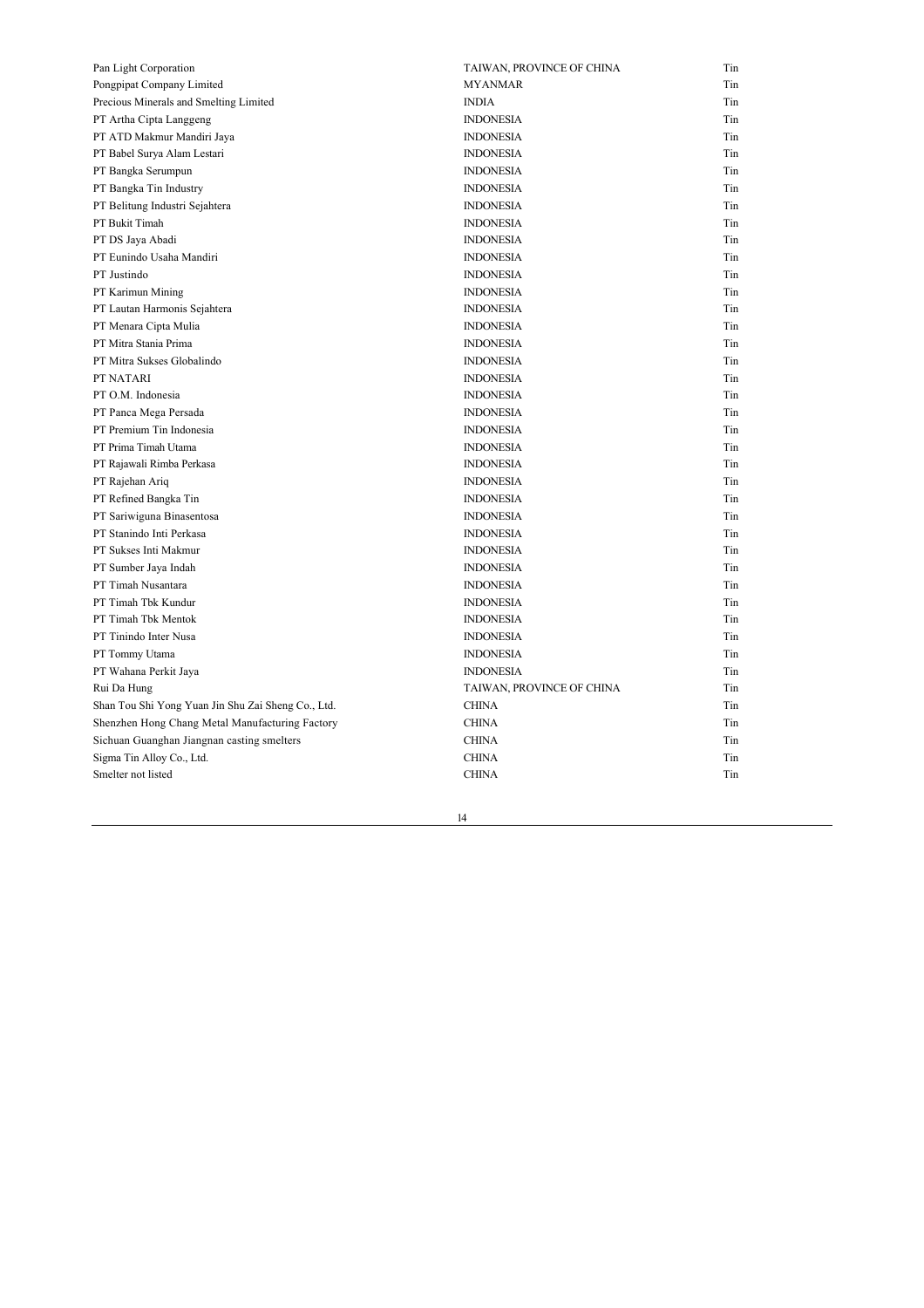| Pan Light Corporation                              | TAIWAN, PROVINCE OF CHINA | Tin |
|----------------------------------------------------|---------------------------|-----|
| Pongpipat Company Limited                          | <b>MYANMAR</b>            | Tin |
| Precious Minerals and Smelting Limited             | <b>INDIA</b>              | Tin |
| PT Artha Cipta Langgeng                            | <b>INDONESIA</b>          | Tin |
| PT ATD Makmur Mandiri Jaya                         | <b>INDONESIA</b>          | Tin |
| PT Babel Surya Alam Lestari                        | <b>INDONESIA</b>          | Tin |
| PT Bangka Serumpun                                 | <b>INDONESIA</b>          | Tin |
| PT Bangka Tin Industry                             | <b>INDONESIA</b>          | Tin |
| PT Belitung Industri Sejahtera                     | <b>INDONESIA</b>          | Tin |
| PT Bukit Timah                                     | <b>INDONESIA</b>          | Tin |
| PT DS Jaya Abadi                                   | <b>INDONESIA</b>          | Tin |
| PT Eunindo Usaha Mandiri                           | <b>INDONESIA</b>          | Tin |
| PT Justindo                                        | <b>INDONESIA</b>          | Tin |
| PT Karimun Mining                                  | <b>INDONESIA</b>          | Tin |
| PT Lautan Harmonis Sejahtera                       | <b>INDONESIA</b>          | Tin |
| PT Menara Cipta Mulia                              | <b>INDONESIA</b>          | Tin |
| PT Mitra Stania Prima                              | <b>INDONESIA</b>          | Tin |
| PT Mitra Sukses Globalindo                         | <b>INDONESIA</b>          | Tin |
| PT NATARI                                          | <b>INDONESIA</b>          | Tin |
| PT O.M. Indonesia                                  | <b>INDONESIA</b>          | Tin |
| PT Panca Mega Persada                              | <b>INDONESIA</b>          | Tin |
| PT Premium Tin Indonesia                           | <b>INDONESIA</b>          | Tin |
| PT Prima Timah Utama                               | <b>INDONESIA</b>          | Tin |
| PT Rajawali Rimba Perkasa                          | <b>INDONESIA</b>          | Tin |
| PT Rajehan Ariq                                    | <b>INDONESIA</b>          | Tin |
| PT Refined Bangka Tin                              | <b>INDONESIA</b>          | Tin |
| PT Sariwiguna Binasentosa                          | <b>INDONESIA</b>          | Tin |
| PT Stanindo Inti Perkasa                           | <b>INDONESIA</b>          | Tin |
| PT Sukses Inti Makmur                              | <b>INDONESIA</b>          | Tin |
| PT Sumber Jaya Indah                               | <b>INDONESIA</b>          | Tin |
| PT Timah Nusantara                                 | <b>INDONESIA</b>          | Tin |
| PT Timah Tbk Kundur                                | <b>INDONESIA</b>          | Tin |
| PT Timah Tbk Mentok                                | <b>INDONESIA</b>          | Tin |
| PT Tinindo Inter Nusa                              | <b>INDONESIA</b>          | Tin |
| PT Tommy Utama                                     | <b>INDONESIA</b>          | Tin |
| PT Wahana Perkit Jaya                              | <b>INDONESIA</b>          | Tin |
| Rui Da Hung                                        | TAIWAN, PROVINCE OF CHINA | Tin |
| Shan Tou Shi Yong Yuan Jin Shu Zai Sheng Co., Ltd. | <b>CHINA</b>              | Tin |
| Shenzhen Hong Chang Metal Manufacturing Factory    | <b>CHINA</b>              | Tin |
| Sichuan Guanghan Jiangnan casting smelters         | <b>CHINA</b>              | Tin |
| Sigma Tin Alloy Co., Ltd.                          | <b>CHINA</b>              | Tin |
| Smelter not listed                                 | <b>CHINA</b>              | Tin |
|                                                    |                           |     |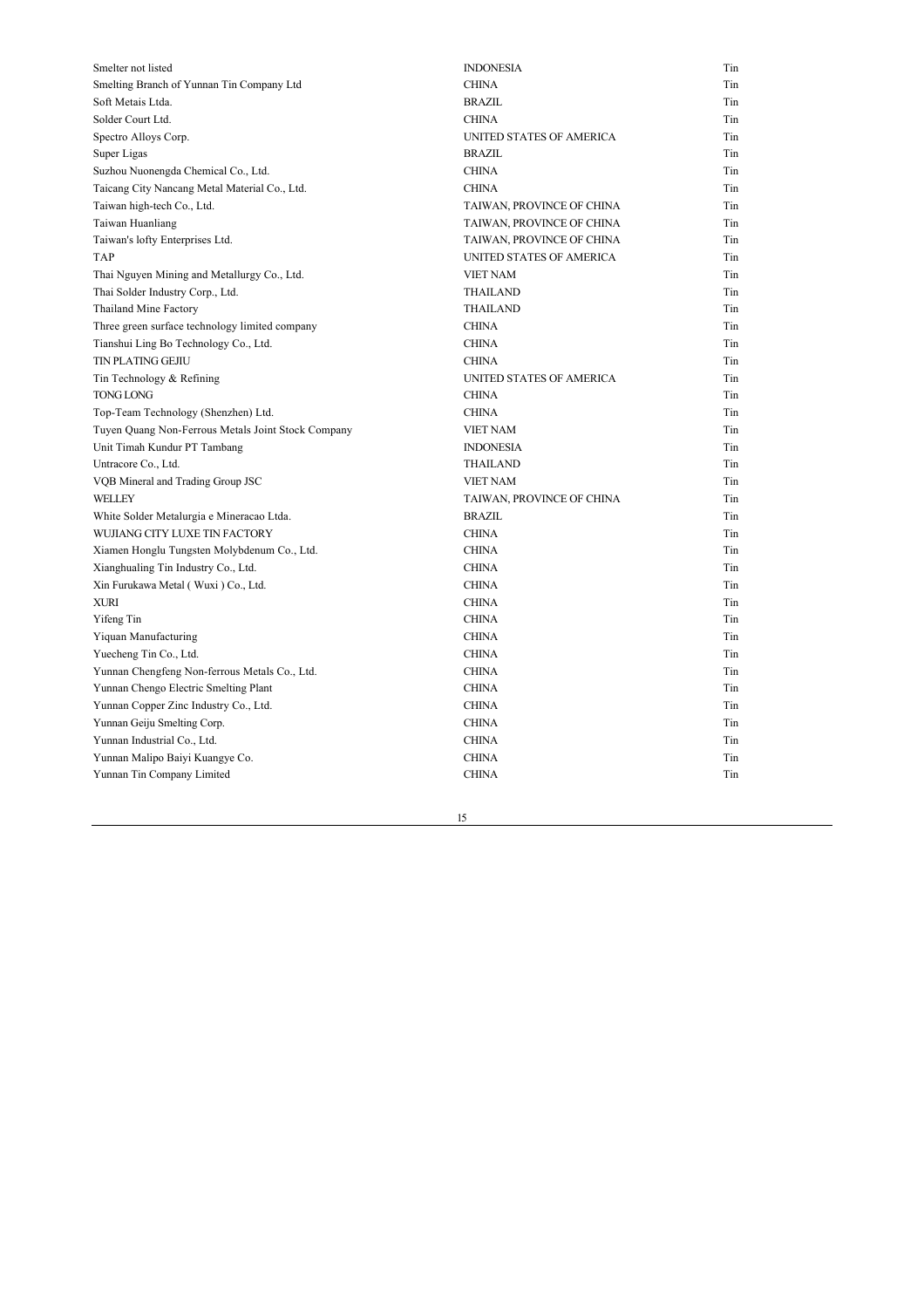| Smelter not listed                                 | <b>INDONESIA</b>          | Tin |
|----------------------------------------------------|---------------------------|-----|
| Smelting Branch of Yunnan Tin Company Ltd          | <b>CHINA</b>              | Tin |
| Soft Metais Ltda.                                  | <b>BRAZIL</b>             | Tin |
| Solder Court Ltd.                                  | <b>CHINA</b>              | Tin |
| Spectro Alloys Corp.                               | UNITED STATES OF AMERICA  | Tin |
| Super Ligas                                        | <b>BRAZIL</b>             | Tin |
| Suzhou Nuonengda Chemical Co., Ltd.                | <b>CHINA</b>              | Tin |
| Taicang City Nancang Metal Material Co., Ltd.      | <b>CHINA</b>              | Tin |
| Taiwan high-tech Co., Ltd.                         | TAIWAN, PROVINCE OF CHINA | Tin |
| Taiwan Huanliang                                   | TAIWAN, PROVINCE OF CHINA | Tin |
| Taiwan's lofty Enterprises Ltd.                    | TAIWAN, PROVINCE OF CHINA | Tin |
| <b>TAP</b>                                         | UNITED STATES OF AMERICA  | Tin |
| Thai Nguyen Mining and Metallurgy Co., Ltd.        | <b>VIET NAM</b>           | Tin |
| Thai Solder Industry Corp., Ltd.                   | <b>THAILAND</b>           | Tin |
| Thailand Mine Factory                              | THAILAND                  | Tin |
| Three green surface technology limited company     | <b>CHINA</b>              | Tin |
| Tianshui Ling Bo Technology Co., Ltd.              | <b>CHINA</b>              | Tin |
| TIN PLATING GEJIU                                  | <b>CHINA</b>              | Tin |
| Tin Technology & Refining                          | UNITED STATES OF AMERICA  | Tin |
| <b>TONG LONG</b>                                   | <b>CHINA</b>              | Tin |
| Top-Team Technology (Shenzhen) Ltd.                | <b>CHINA</b>              | Tin |
| Tuyen Quang Non-Ferrous Metals Joint Stock Company | <b>VIET NAM</b>           | Tin |
| Unit Timah Kundur PT Tambang                       | <b>INDONESIA</b>          | Tin |
| Untracore Co., Ltd.                                | THAILAND                  | Tin |
| VQB Mineral and Trading Group JSC                  | <b>VIET NAM</b>           | Tin |
| WELLEY                                             | TAIWAN, PROVINCE OF CHINA | Tin |
| White Solder Metalurgia e Mineracao Ltda.          | <b>BRAZIL</b>             | Tin |
| WUJIANG CITY LUXE TIN FACTORY                      | <b>CHINA</b>              | Tin |
| Xiamen Honglu Tungsten Molybdenum Co., Ltd.        | <b>CHINA</b>              | Tin |
| Xianghualing Tin Industry Co., Ltd.                | <b>CHINA</b>              | Tin |
| Xin Furukawa Metal (Wuxi) Co., Ltd.                | <b>CHINA</b>              | Tin |
| <b>XURI</b>                                        | <b>CHINA</b>              | Tin |
| Yifeng Tin                                         | <b>CHINA</b>              | Tin |
| Yiquan Manufacturing                               | <b>CHINA</b>              | Tin |
| Yuecheng Tin Co., Ltd.                             | <b>CHINA</b>              | Tin |
| Yunnan Chengfeng Non-ferrous Metals Co., Ltd.      | <b>CHINA</b>              | Tin |
| Yunnan Chengo Electric Smelting Plant              | <b>CHINA</b>              | Tin |
| Yunnan Copper Zinc Industry Co., Ltd.              | <b>CHINA</b>              | Tin |
| Yunnan Geiju Smelting Corp.                        | <b>CHINA</b>              | Tin |
| Yunnan Industrial Co., Ltd.                        | <b>CHINA</b>              | Tin |
| Yunnan Malipo Baiyi Kuangye Co.                    | <b>CHINA</b>              | Tin |
| Yunnan Tin Company Limited                         | <b>CHINA</b>              | Tin |
|                                                    |                           |     |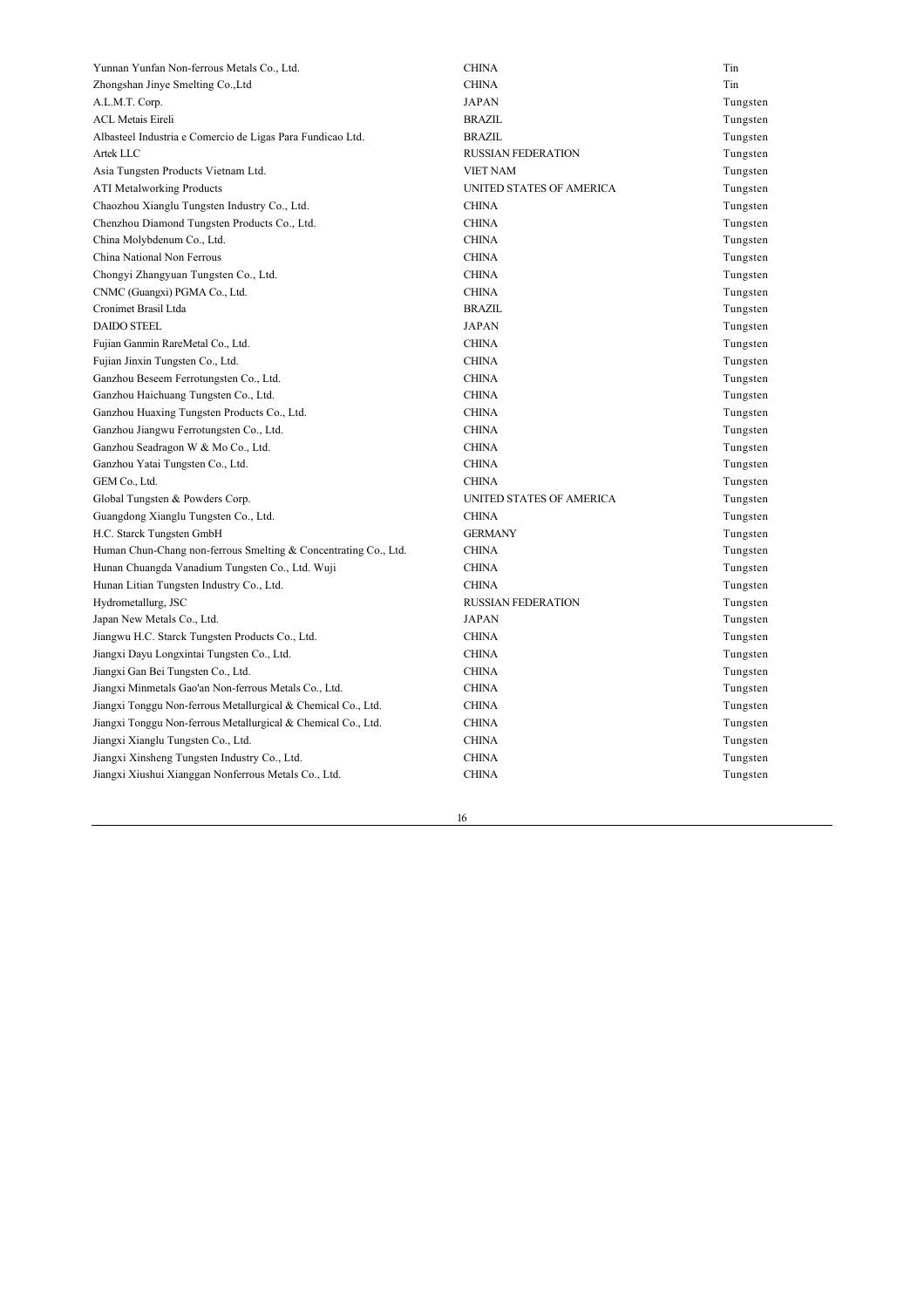| Yunnan Yunfan Non-ferrous Metals Co., Ltd.                      | <b>CHINA</b>              | Tin      |
|-----------------------------------------------------------------|---------------------------|----------|
| Zhongshan Jinye Smelting Co., Ltd                               | <b>CHINA</b>              | Tin      |
| A.L.M.T. Corp.                                                  | <b>JAPAN</b>              | Tungsten |
| <b>ACL Metais Eireli</b>                                        | <b>BRAZIL</b>             | Tungsten |
| Albasteel Industria e Comercio de Ligas Para Fundicao Ltd.      | <b>BRAZIL</b>             | Tungsten |
| Artek LLC                                                       | <b>RUSSIAN FEDERATION</b> | Tungsten |
| Asia Tungsten Products Vietnam Ltd.                             | <b>VIET NAM</b>           | Tungsten |
| <b>ATI Metalworking Products</b>                                | UNITED STATES OF AMERICA  | Tungsten |
| Chaozhou Xianglu Tungsten Industry Co., Ltd.                    | <b>CHINA</b>              | Tungsten |
| Chenzhou Diamond Tungsten Products Co., Ltd.                    | <b>CHINA</b>              | Tungsten |
| China Molybdenum Co., Ltd.                                      | <b>CHINA</b>              | Tungsten |
| China National Non Ferrous                                      | <b>CHINA</b>              | Tungsten |
| Chongyi Zhangyuan Tungsten Co., Ltd.                            | <b>CHINA</b>              | Tungsten |
| CNMC (Guangxi) PGMA Co., Ltd.                                   | <b>CHINA</b>              | Tungsten |
| Cronimet Brasil Ltda                                            | <b>BRAZIL</b>             | Tungsten |
| <b>DAIDO STEEL</b>                                              | <b>JAPAN</b>              | Tungsten |
| Fujian Ganmin RareMetal Co., Ltd.                               | <b>CHINA</b>              | Tungsten |
| Fujian Jinxin Tungsten Co., Ltd.                                | <b>CHINA</b>              | Tungsten |
| Ganzhou Beseem Ferrotungsten Co., Ltd.                          | <b>CHINA</b>              | Tungsten |
| Ganzhou Haichuang Tungsten Co., Ltd.                            | <b>CHINA</b>              | Tungsten |
| Ganzhou Huaxing Tungsten Products Co., Ltd.                     | <b>CHINA</b>              | Tungsten |
| Ganzhou Jiangwu Ferrotungsten Co., Ltd.                         | <b>CHINA</b>              | Tungsten |
| Ganzhou Seadragon W & Mo Co., Ltd.                              | <b>CHINA</b>              | Tungsten |
| Ganzhou Yatai Tungsten Co., Ltd.                                | <b>CHINA</b>              | Tungsten |
| GEM Co., Ltd.                                                   | <b>CHINA</b>              | Tungsten |
| Global Tungsten & Powders Corp.                                 | UNITED STATES OF AMERICA  | Tungsten |
| Guangdong Xianglu Tungsten Co., Ltd.                            | <b>CHINA</b>              | Tungsten |
| H.C. Starck Tungsten GmbH                                       | <b>GERMANY</b>            | Tungsten |
| Human Chun-Chang non-ferrous Smelting & Concentrating Co., Ltd. | <b>CHINA</b>              | Tungsten |
| Hunan Chuangda Vanadium Tungsten Co., Ltd. Wuji                 | <b>CHINA</b>              | Tungsten |
| Hunan Litian Tungsten Industry Co., Ltd.                        | <b>CHINA</b>              | Tungsten |
| Hydrometallurg, JSC                                             | <b>RUSSIAN FEDERATION</b> | Tungsten |
| Japan New Metals Co., Ltd.                                      | <b>JAPAN</b>              | Tungsten |
| Jiangwu H.C. Starck Tungsten Products Co., Ltd.                 | <b>CHINA</b>              | Tungsten |
| Jiangxi Dayu Longxintai Tungsten Co., Ltd.                      | <b>CHINA</b>              | Tungsten |
| Jiangxi Gan Bei Tungsten Co., Ltd.                              | <b>CHINA</b>              | Tungsten |
| Jiangxi Minmetals Gao'an Non-ferrous Metals Co., Ltd.           | <b>CHINA</b>              | Tungsten |
| Jiangxi Tonggu Non-ferrous Metallurgical & Chemical Co., Ltd.   | <b>CHINA</b>              | Tungsten |
| Jiangxi Tonggu Non-ferrous Metallurgical & Chemical Co., Ltd.   | <b>CHINA</b>              | Tungsten |
| Jiangxi Xianglu Tungsten Co., Ltd.                              | <b>CHINA</b>              | Tungsten |
| Jiangxi Xinsheng Tungsten Industry Co., Ltd.                    | <b>CHINA</b>              | Tungsten |
| Jiangxi Xiushui Xianggan Nonferrous Metals Co., Ltd.            | <b>CHINA</b>              | Tungsten |
|                                                                 |                           |          |